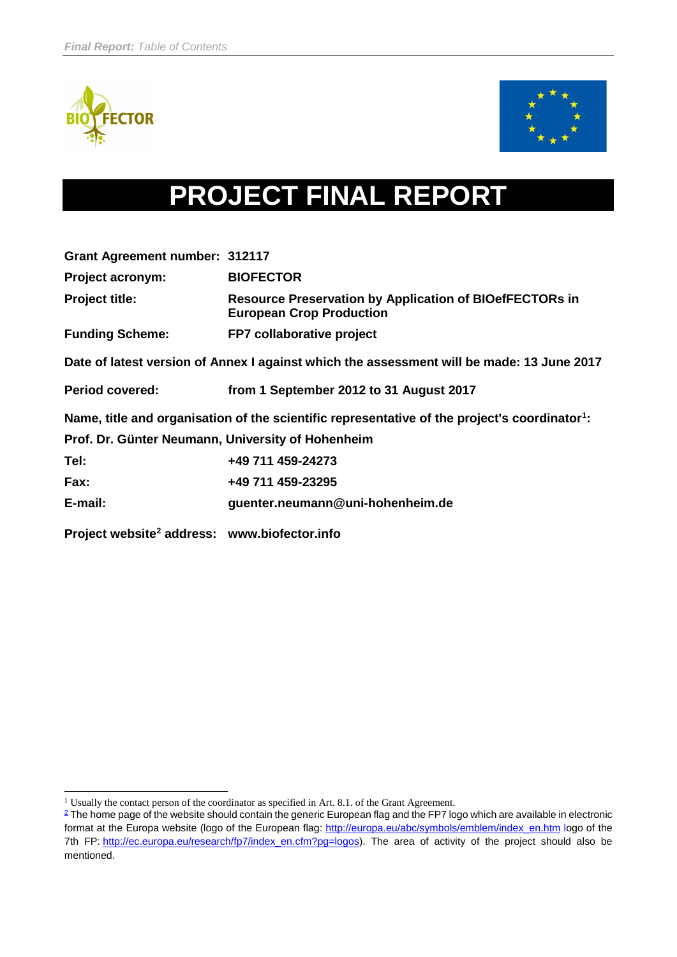



# **PROJECT FINAL REPORT**

| <b>Grant Agreement number: 312117</b>                    |                                                                                                           |  |  |  |  |
|----------------------------------------------------------|-----------------------------------------------------------------------------------------------------------|--|--|--|--|
| <b>Project acronym:</b>                                  | <b>BIOFECTOR</b>                                                                                          |  |  |  |  |
| <b>Project title:</b>                                    | <b>Resource Preservation by Application of BIOefFECTORs in</b><br><b>European Crop Production</b>         |  |  |  |  |
| <b>Funding Scheme:</b>                                   | FP7 collaborative project                                                                                 |  |  |  |  |
|                                                          | Date of latest version of Annex I against which the assessment will be made: 13 June 2017                 |  |  |  |  |
| <b>Period covered:</b>                                   | from 1 September 2012 to 31 August 2017                                                                   |  |  |  |  |
|                                                          | Name, title and organisation of the scientific representative of the project's coordinator <sup>1</sup> : |  |  |  |  |
| Prof. Dr. Günter Neumann, University of Hohenheim        |                                                                                                           |  |  |  |  |
| Tel:                                                     | +49 711 459-24273                                                                                         |  |  |  |  |
| Fax:                                                     | +49 711 459-23295                                                                                         |  |  |  |  |
| E-mail:                                                  | guenter.neumann@uni-hohenheim.de                                                                          |  |  |  |  |
| Project website <sup>2</sup> address: www.biofector.info |                                                                                                           |  |  |  |  |

<span id="page-0-2"></span><sup>-</sup><sup>1</sup> Usually the contact person of the coordinator as specified in Art. 8.1. of the Grant Agreement.

<span id="page-0-1"></span><span id="page-0-0"></span><sup>&</sup>lt;sup>2</sup> The home page of the website should contain the generic European flag and the FP7 logo which are available in electronic format at the Europa website (logo of the European flag: [http://europa.eu/abc/symbols/emblem/index\\_en.htm](http://europa.eu/abc/symbols/emblem/index_en.htm) logo of the 7th FP: [http://ec.europa.eu/research/fp7/index\\_en.cfm?pg=logos\)](http://ec.europa.eu/research/fp7/index_en.cfm?pg=logos). The area of activity of the project should also be mentioned.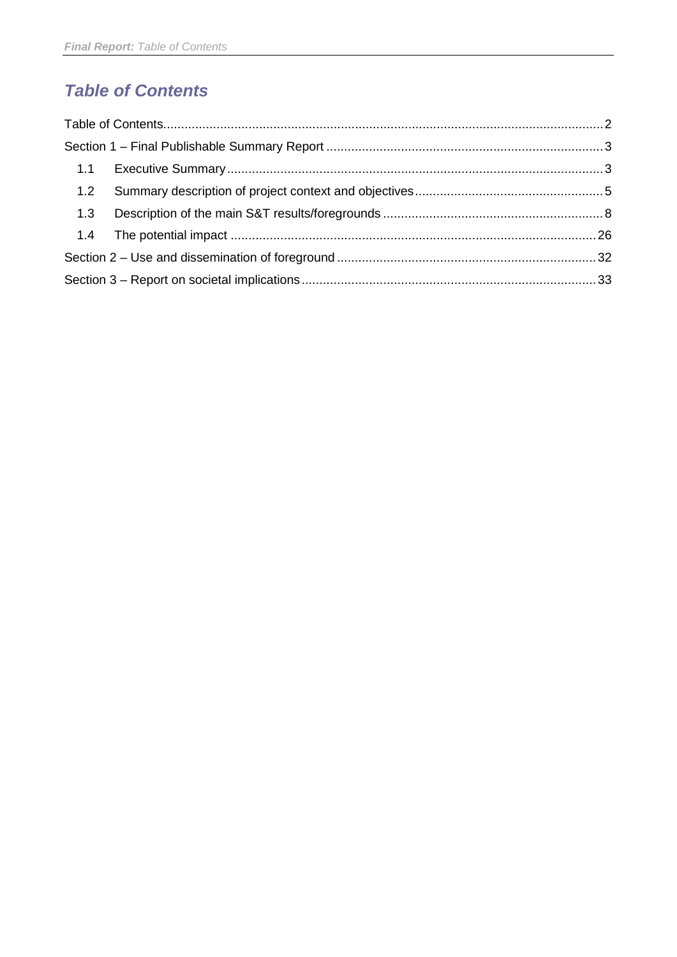# *Table of Contents*

| 1.2 |  |
|-----|--|
| 1.3 |  |
|     |  |
|     |  |
|     |  |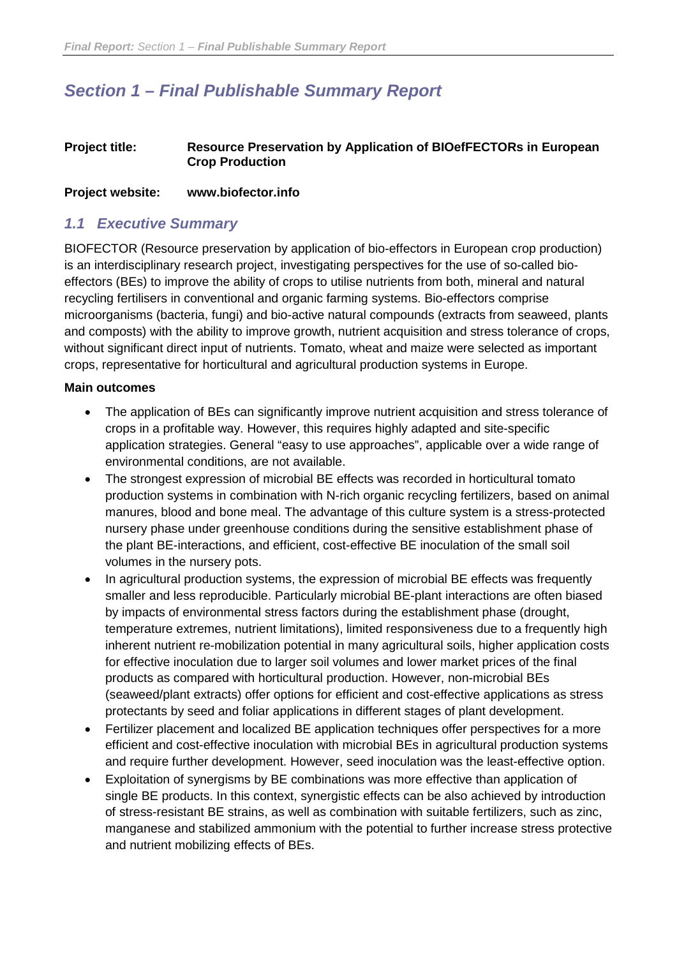## <span id="page-2-0"></span>*Section 1 – Final Publishable Summary Report*

#### **Project title: Resource Preservation by Application of BIOefFECTORs in European Crop Production**

#### **Project website: www.biofector.info**

#### <span id="page-2-1"></span>*1.1 Executive Summary*

BIOFECTOR (Resource preservation by application of bio-effectors in European crop production) is an interdisciplinary research project, investigating perspectives for the use of so-called bioeffectors (BEs) to improve the ability of crops to utilise nutrients from both, mineral and natural recycling fertilisers in conventional and organic farming systems. Bio-effectors comprise microorganisms (bacteria, fungi) and bio-active natural compounds (extracts from seaweed, plants and composts) with the ability to improve growth, nutrient acquisition and stress tolerance of crops, without significant direct input of nutrients. Tomato, wheat and maize were selected as important crops, representative for horticultural and agricultural production systems in Europe.

#### **Main outcomes**

- The application of BEs can significantly improve nutrient acquisition and stress tolerance of crops in a profitable way. However, this requires highly adapted and site-specific application strategies. General "easy to use approaches", applicable over a wide range of environmental conditions, are not available.
- The strongest expression of microbial BE effects was recorded in horticultural tomato production systems in combination with N-rich organic recycling fertilizers, based on animal manures, blood and bone meal. The advantage of this culture system is a stress-protected nursery phase under greenhouse conditions during the sensitive establishment phase of the plant BE-interactions, and efficient, cost-effective BE inoculation of the small soil volumes in the nursery pots.
- In agricultural production systems, the expression of microbial BE effects was frequently smaller and less reproducible. Particularly microbial BE-plant interactions are often biased by impacts of environmental stress factors during the establishment phase (drought, temperature extremes, nutrient limitations), limited responsiveness due to a frequently high inherent nutrient re-mobilization potential in many agricultural soils, higher application costs for effective inoculation due to larger soil volumes and lower market prices of the final products as compared with horticultural production. However, non-microbial BEs (seaweed/plant extracts) offer options for efficient and cost-effective applications as stress protectants by seed and foliar applications in different stages of plant development.
- Fertilizer placement and localized BE application techniques offer perspectives for a more efficient and cost-effective inoculation with microbial BEs in agricultural production systems and require further development. However, seed inoculation was the least-effective option.
- Exploitation of synergisms by BE combinations was more effective than application of single BE products. In this context, synergistic effects can be also achieved by introduction of stress-resistant BE strains, as well as combination with suitable fertilizers, such as zinc, manganese and stabilized ammonium with the potential to further increase stress protective and nutrient mobilizing effects of BEs.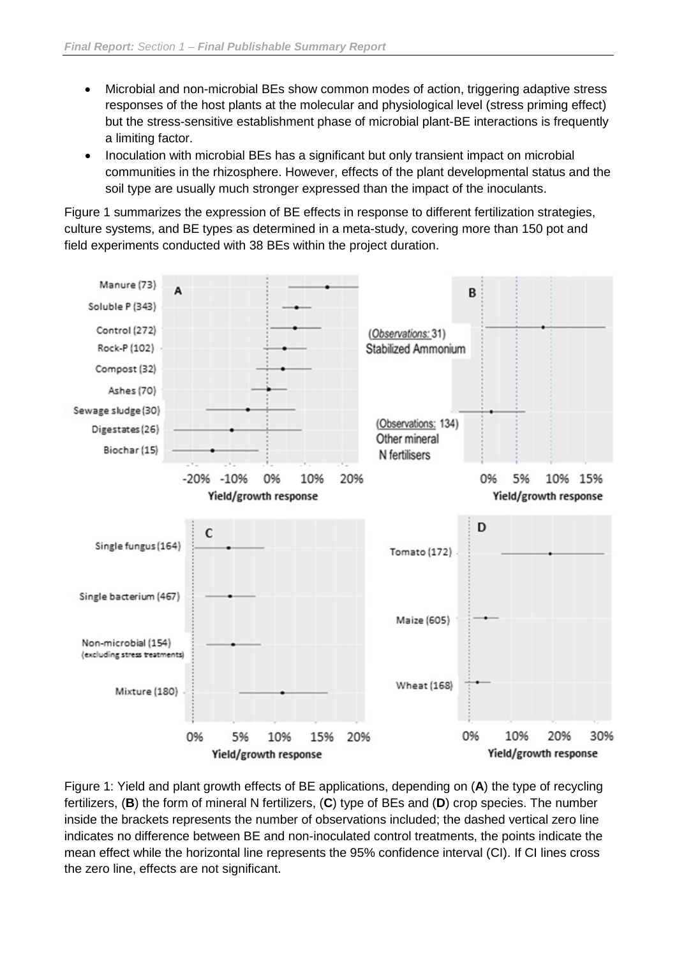- Microbial and non-microbial BEs show common modes of action, triggering adaptive stress responses of the host plants at the molecular and physiological level (stress priming effect) but the stress-sensitive establishment phase of microbial plant-BE interactions is frequently a limiting factor.
- Inoculation with microbial BEs has a significant but only transient impact on microbial communities in the rhizosphere. However, effects of the plant developmental status and the soil type are usually much stronger expressed than the impact of the inoculants.

Figure 1 summarizes the expression of BE effects in response to different fertilization strategies, culture systems, and BE types as determined in a meta-study, covering more than 150 pot and field experiments conducted with 38 BEs within the project duration.



Figure 1: Yield and plant growth effects of BE applications, depending on (**A**) the type of recycling fertilizers, (**B**) the form of mineral N fertilizers, (**C**) type of BEs and (**D**) crop species. The number inside the brackets represents the number of observations included; the dashed vertical zero line indicates no difference between BE and non-inoculated control treatments, the points indicate the mean effect while the horizontal line represents the 95% confidence interval (CI). If CI lines cross the zero line, effects are not significant.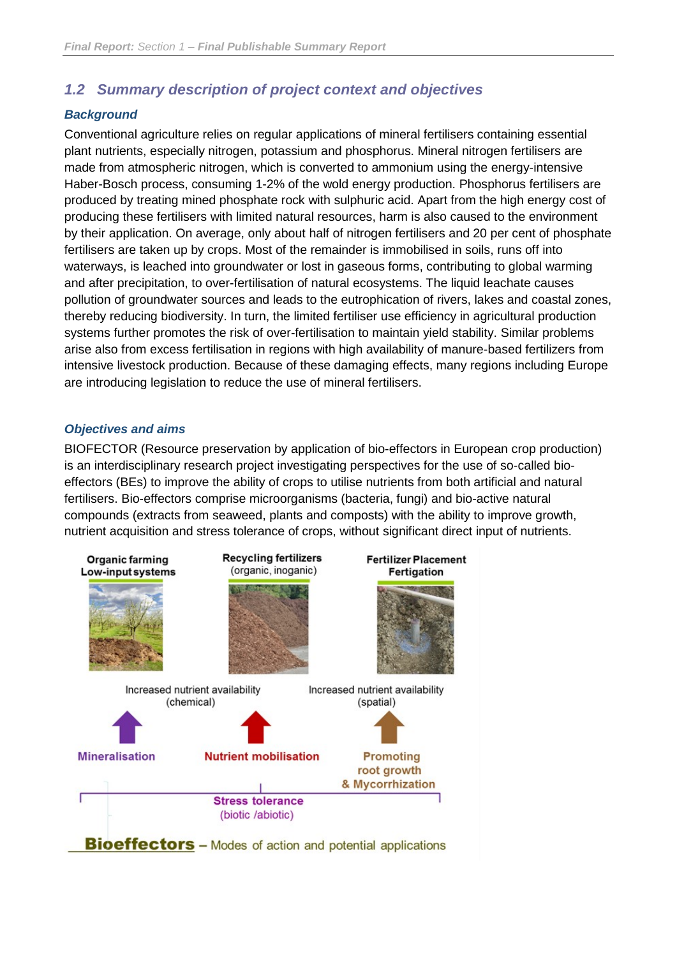## <span id="page-4-0"></span>*1.2 Summary description of project context and objectives*

#### *Background*

Conventional agriculture relies on regular applications of mineral fertilisers containing essential plant nutrients, especially nitrogen, potassium and phosphorus. Mineral nitrogen fertilisers are made from atmospheric nitrogen, which is converted to ammonium using the energy-intensive Haber-Bosch process, consuming 1-2% of the wold energy production. Phosphorus fertilisers are produced by treating mined phosphate rock with sulphuric acid. Apart from the high energy cost of producing these fertilisers with limited natural resources, harm is also caused to the environment by their application. On average, only about half of nitrogen fertilisers and 20 per cent of phosphate fertilisers are taken up by crops. Most of the remainder is immobilised in soils, runs off into waterways, is leached into groundwater or lost in gaseous forms, contributing to global warming and after precipitation, to over-fertilisation of natural ecosystems. The liquid leachate causes pollution of groundwater sources and leads to the eutrophication of rivers, lakes and coastal zones, thereby reducing biodiversity. In turn, the limited fertiliser use efficiency in agricultural production systems further promotes the risk of over-fertilisation to maintain yield stability. Similar problems arise also from excess fertilisation in regions with high availability of manure-based fertilizers from intensive livestock production. Because of these damaging effects, many regions including Europe are introducing legislation to reduce the use of mineral fertilisers.

#### *Objectives and aims*

BIOFECTOR (Resource preservation by application of bio-effectors in European crop production) is an interdisciplinary research project investigating perspectives for the use of so-called bioeffectors (BEs) to improve the ability of crops to utilise nutrients from both artificial and natural fertilisers. Bio-effectors comprise microorganisms (bacteria, fungi) and bio-active natural compounds (extracts from seaweed, plants and composts) with the ability to improve growth, nutrient acquisition and stress tolerance of crops, without significant direct input of nutrients.

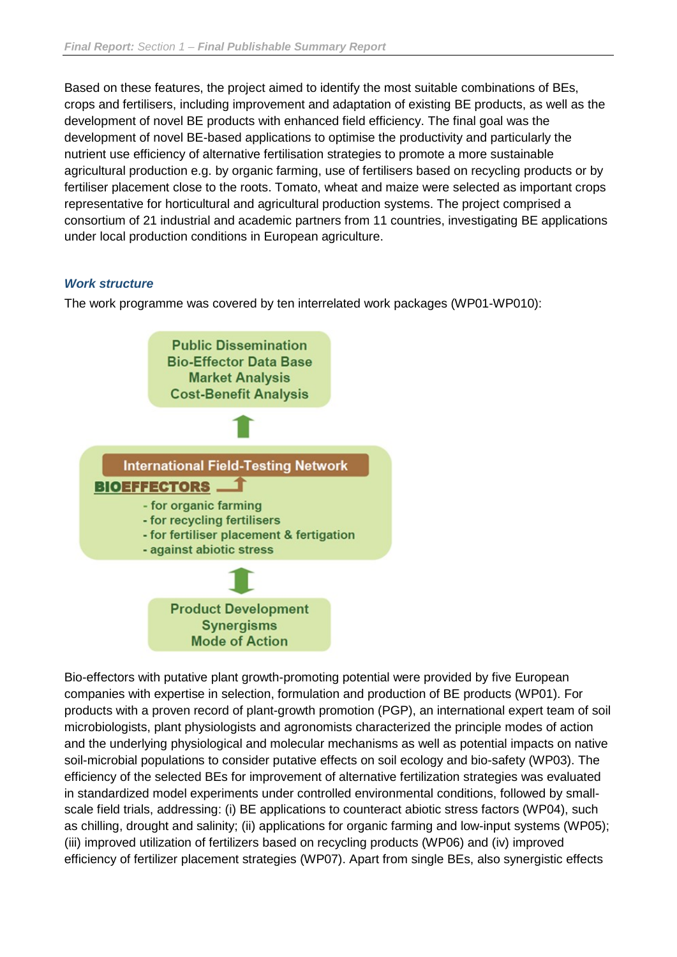Based on these features, the project aimed to identify the most suitable combinations of BEs, crops and fertilisers, including improvement and adaptation of existing BE products, as well as the development of novel BE products with enhanced field efficiency. The final goal was the development of novel BE-based applications to optimise the productivity and particularly the nutrient use efficiency of alternative fertilisation strategies to promote a more sustainable agricultural production e.g. by organic farming, use of fertilisers based on recycling products or by fertiliser placement close to the roots. Tomato, wheat and maize were selected as important crops representative for horticultural and agricultural production systems. The project comprised a consortium of 21 industrial and academic partners from 11 countries, investigating BE applications under local production conditions in European agriculture.

#### *Work structure*

The work programme was covered by ten interrelated work packages (WP01-WP010):



Bio-effectors with putative plant growth-promoting potential were provided by five European companies with expertise in selection, formulation and production of BE products (WP01). For products with a proven record of plant-growth promotion (PGP), an international expert team of soil microbiologists, plant physiologists and agronomists characterized the principle modes of action and the underlying physiological and molecular mechanisms as well as potential impacts on native soil-microbial populations to consider putative effects on soil ecology and bio-safety (WP03). The efficiency of the selected BEs for improvement of alternative fertilization strategies was evaluated in standardized model experiments under controlled environmental conditions, followed by smallscale field trials, addressing: (i) BE applications to counteract abiotic stress factors (WP04), such as chilling, drought and salinity; (ii) applications for organic farming and low-input systems (WP05); (iii) improved utilization of fertilizers based on recycling products (WP06) and (iv) improved efficiency of fertilizer placement strategies (WP07). Apart from single BEs, also synergistic effects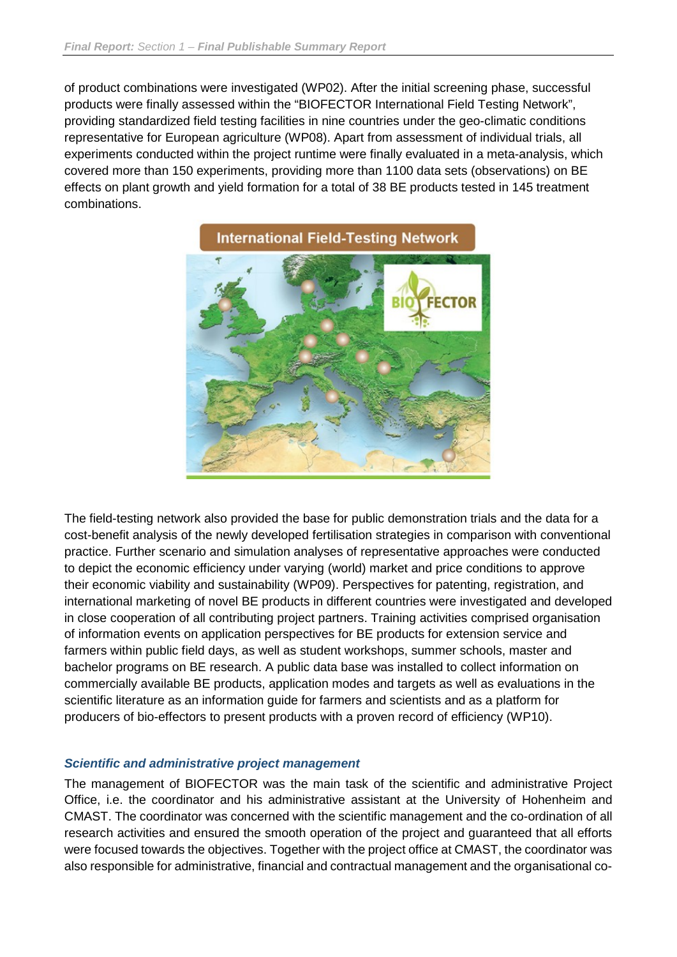of product combinations were investigated (WP02). After the initial screening phase, successful products were finally assessed within the "BIOFECTOR International Field Testing Network", providing standardized field testing facilities in nine countries under the geo-climatic conditions representative for European agriculture (WP08). Apart from assessment of individual trials, all experiments conducted within the project runtime were finally evaluated in a meta-analysis, which covered more than 150 experiments, providing more than 1100 data sets (observations) on BE effects on plant growth and yield formation for a total of 38 BE products tested in 145 treatment combinations.



The field-testing network also provided the base for public demonstration trials and the data for a cost-benefit analysis of the newly developed fertilisation strategies in comparison with conventional practice. Further scenario and simulation analyses of representative approaches were conducted to depict the economic efficiency under varying (world) market and price conditions to approve their economic viability and sustainability (WP09). Perspectives for patenting, registration, and international marketing of novel BE products in different countries were investigated and developed in close cooperation of all contributing project partners. Training activities comprised organisation of information events on application perspectives for BE products for extension service and farmers within public field days, as well as student workshops, summer schools, master and bachelor programs on BE research. A public data base was installed to collect information on commercially available BE products, application modes and targets as well as evaluations in the scientific literature as an information guide for farmers and scientists and as a platform for producers of bio-effectors to present products with a proven record of efficiency (WP10).

#### *Scientific and administrative project management*

The management of BIOFECTOR was the main task of the scientific and administrative Project Office, i.e. the coordinator and his administrative assistant at the University of Hohenheim and CMAST. The coordinator was concerned with the scientific management and the co-ordination of all research activities and ensured the smooth operation of the project and guaranteed that all efforts were focused towards the objectives. Together with the project office at CMAST, the coordinator was also responsible for administrative, financial and contractual management and the organisational co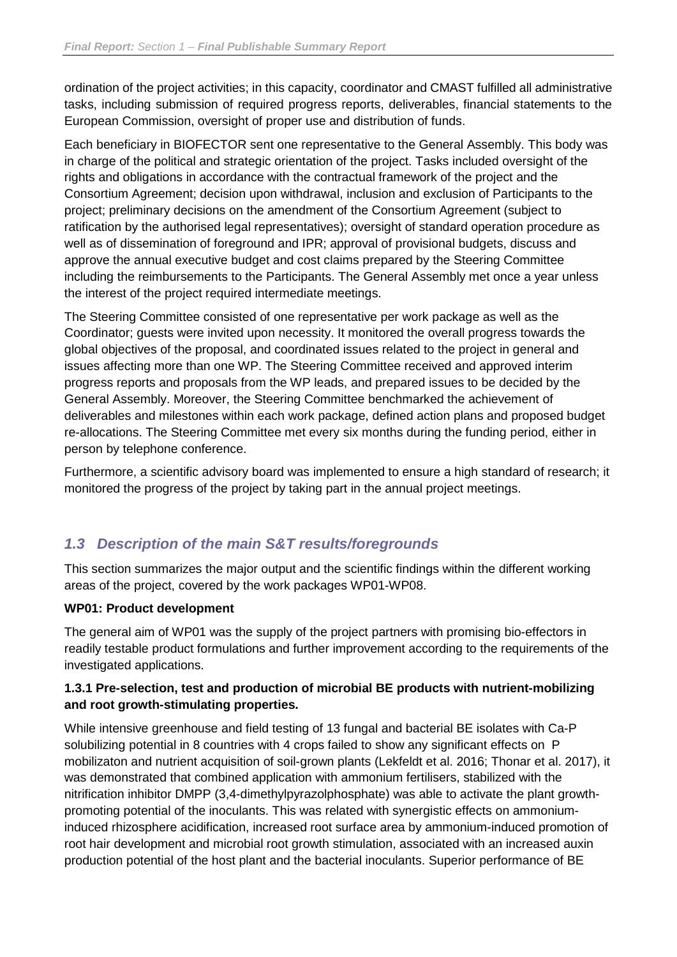ordination of the project activities; in this capacity, coordinator and CMAST fulfilled all administrative tasks, including submission of required progress reports, deliverables, financial statements to the European Commission, oversight of proper use and distribution of funds.

Each beneficiary in BIOFECTOR sent one representative to the General Assembly. This body was in charge of the political and strategic orientation of the project. Tasks included oversight of the rights and obligations in accordance with the contractual framework of the project and the Consortium Agreement; decision upon withdrawal, inclusion and exclusion of Participants to the project; preliminary decisions on the amendment of the Consortium Agreement (subject to ratification by the authorised legal representatives); oversight of standard operation procedure as well as of dissemination of foreground and IPR; approval of provisional budgets, discuss and approve the annual executive budget and cost claims prepared by the Steering Committee including the reimbursements to the Participants. The General Assembly met once a year unless the interest of the project required intermediate meetings.

The Steering Committee consisted of one representative per work package as well as the Coordinator; guests were invited upon necessity. It monitored the overall progress towards the global objectives of the proposal, and coordinated issues related to the project in general and issues affecting more than one WP. The Steering Committee received and approved interim progress reports and proposals from the WP leads, and prepared issues to be decided by the General Assembly. Moreover, the Steering Committee benchmarked the achievement of deliverables and milestones within each work package, defined action plans and proposed budget re-allocations. The Steering Committee met every six months during the funding period, either in person by telephone conference.

Furthermore, a scientific advisory board was implemented to ensure a high standard of research; it monitored the progress of the project by taking part in the annual project meetings.

### <span id="page-7-0"></span>*1.3 Description of the main S&T results/foregrounds*

This section summarizes the major output and the scientific findings within the different working areas of the project, covered by the work packages WP01-WP08.

#### **WP01: Product development**

The general aim of WP01 was the supply of the project partners with promising bio-effectors in readily testable product formulations and further improvement according to the requirements of the investigated applications.

#### **1.3.1 Pre-selection, test and production of microbial BE products with nutrient-mobilizing and root growth-stimulating properties.**

While intensive greenhouse and field testing of 13 fungal and bacterial BE isolates with Ca-P solubilizing potential in 8 countries with 4 crops failed to show any significant effects on P mobilizaton and nutrient acquisition of soil-grown plants (Lekfeldt et al. 2016; Thonar et al. 2017), it was demonstrated that combined application with ammonium fertilisers, stabilized with the nitrification inhibitor DMPP (3,4-dimethylpyrazolphosphate) was able to activate the plant growthpromoting potential of the inoculants. This was related with synergistic effects on ammoniuminduced rhizosphere acidification, increased root surface area by ammonium-induced promotion of root hair development and microbial root growth stimulation, associated with an increased auxin production potential of the host plant and the bacterial inoculants. Superior performance of BE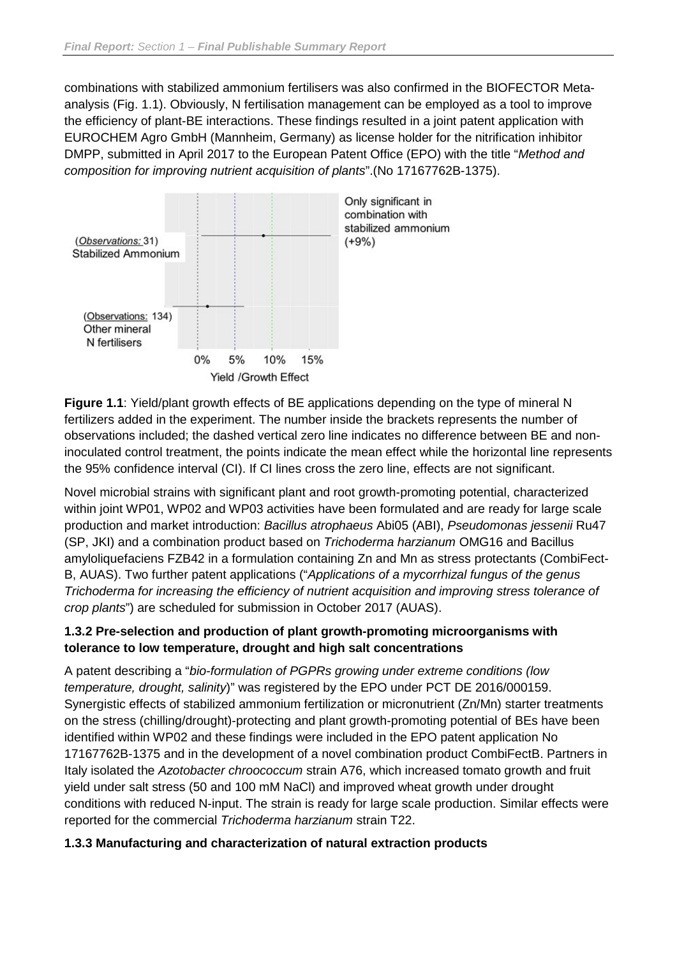combinations with stabilized ammonium fertilisers was also confirmed in the BIOFECTOR Metaanalysis (Fig. 1.1). Obviously, N fertilisation management can be employed as a tool to improve the efficiency of plant-BE interactions. These findings resulted in a joint patent application with EUROCHEM Agro GmbH (Mannheim, Germany) as license holder for the nitrification inhibitor DMPP, submitted in April 2017 to the European Patent Office (EPO) with the title "*Method and composition for improving nutrient acquisition of plants*".(No 17167762B-1375).



**Figure 1.1**: Yield/plant growth effects of BE applications depending on the type of mineral N fertilizers added in the experiment. The number inside the brackets represents the number of observations included; the dashed vertical zero line indicates no difference between BE and noninoculated control treatment, the points indicate the mean effect while the horizontal line represents the 95% confidence interval (CI). If CI lines cross the zero line, effects are not significant.

Novel microbial strains with significant plant and root growth-promoting potential, characterized within joint WP01, WP02 and WP03 activities have been formulated and are ready for large scale production and market introduction: *Bacillus atrophaeus* Abi05 (ABI), *Pseudomonas jessenii* Ru47 (SP, JKI) and a combination product based on *Trichoderma harzianum* OMG16 and Bacillus amyloliquefaciens FZB42 in a formulation containing Zn and Mn as stress protectants (CombiFect-B, AUAS). Two further patent applications ("*Applications of a mycorrhizal fungus of the genus Trichoderma for increasing the efficiency of nutrient acquisition and improving stress tolerance of crop plants*") are scheduled for submission in October 2017 (AUAS).

#### **1.3.2 Pre-selection and production of plant growth-promoting microorganisms with tolerance to low temperature, drought and high salt concentrations**

A patent describing a "*bio-formulation of PGPRs growing under extreme conditions (low temperature, drought, salinity*)" was registered by the EPO under PCT DE 2016/000159. Synergistic effects of stabilized ammonium fertilization or micronutrient (Zn/Mn) starter treatments on the stress (chilling/drought)-protecting and plant growth-promoting potential of BEs have been identified within WP02 and these findings were included in the EPO patent application No 17167762B-1375 and in the development of a novel combination product CombiFectB. Partners in Italy isolated the *Azotobacter chroococcum* strain A76, which increased tomato growth and fruit yield under salt stress (50 and 100 mM NaCl) and improved wheat growth under drought conditions with reduced N-input. The strain is ready for large scale production. Similar effects were reported for the commercial *Trichoderma harzianum* strain T22.

#### **1.3.3 Manufacturing and characterization of natural extraction products**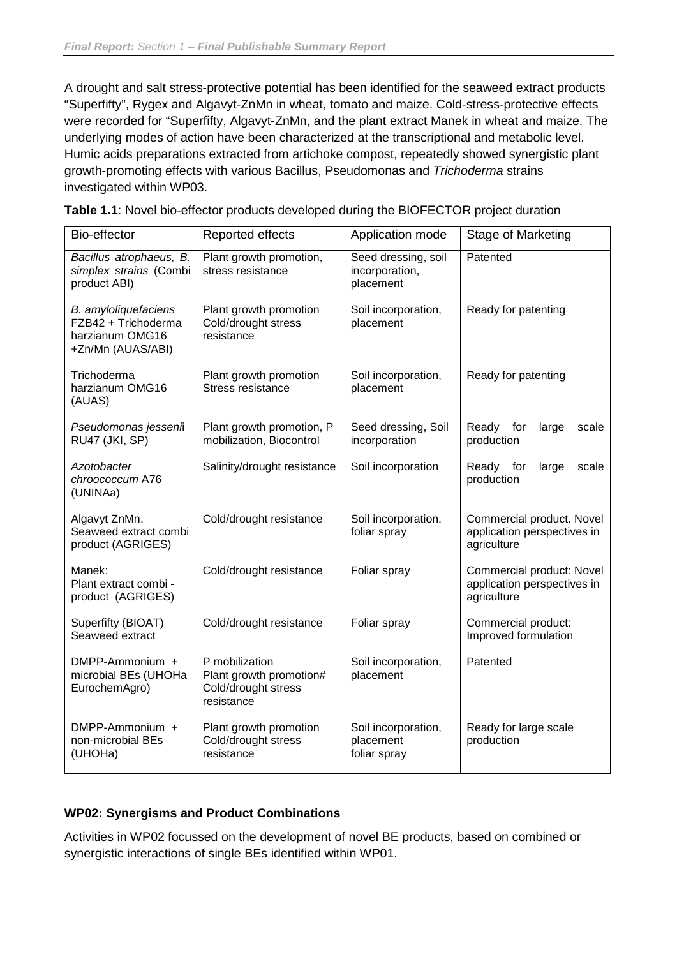A drought and salt stress-protective potential has been identified for the seaweed extract products "Superfifty", Rygex and Algavyt-ZnMn in wheat, tomato and maize. Cold-stress-protective effects were recorded for "Superfifty, Algavyt-ZnMn, and the plant extract Manek in wheat and maize. The underlying modes of action have been characterized at the transcriptional and metabolic level. Humic acids preparations extracted from artichoke compost, repeatedly showed synergistic plant growth-promoting effects with various Bacillus, Pseudomonas and *Trichoderma* strains investigated within WP03.

| Bio-effector                                                                        | Reported effects                                                               | Application mode                                   | Stage of Marketing                                                      |  |
|-------------------------------------------------------------------------------------|--------------------------------------------------------------------------------|----------------------------------------------------|-------------------------------------------------------------------------|--|
| Bacillus atrophaeus, B.<br>simplex strains (Combi<br>product ABI)                   | Plant growth promotion,<br>stress resistance                                   | Seed dressing, soil<br>incorporation,<br>placement | Patented                                                                |  |
| B. amyloliquefaciens<br>FZB42 + Trichoderma<br>harzianum OMG16<br>+Zn/Mn (AUAS/ABI) | Plant growth promotion<br>Cold/drought stress<br>resistance                    | Soil incorporation,<br>placement                   | Ready for patenting                                                     |  |
| Trichoderma<br>harzianum OMG16<br>(AUAS)                                            | Plant growth promotion<br><b>Stress resistance</b>                             | Soil incorporation,<br>placement                   | Ready for patenting                                                     |  |
| Pseudomonas jessenii<br>RU47 (JKI, SP)                                              | Plant growth promotion, P<br>mobilization, Biocontrol                          | Seed dressing, Soil<br>incorporation               | Ready for<br>large<br>scale<br>production                               |  |
| Azotobacter<br>chroococcum A76<br>(UNINAa)                                          | Salinity/drought resistance                                                    | Soil incorporation                                 | Ready for<br>large<br>scale<br>production                               |  |
| Algavyt ZnMn.<br>Seaweed extract combi<br>product (AGRIGES)                         | Cold/drought resistance                                                        | Soil incorporation,<br>foliar spray                | Commercial product. Novel<br>application perspectives in<br>agriculture |  |
| Manek:<br>Plant extract combi -<br>product (AGRIGES)                                | Cold/drought resistance                                                        | Foliar spray                                       | Commercial product: Novel<br>application perspectives in<br>agriculture |  |
| Superfifty (BIOAT)<br>Seaweed extract                                               | Cold/drought resistance                                                        | Foliar spray                                       | Commercial product:<br>Improved formulation                             |  |
| DMPP-Ammonium +<br>microbial BEs (UHOHa<br>EurochemAgro)                            | P mobilization<br>Plant growth promotion#<br>Cold/drought stress<br>resistance | Soil incorporation,<br>placement                   | Patented                                                                |  |
| DMPP-Ammonium +<br>non-microbial BEs<br>(UHOHa)                                     | Plant growth promotion<br>Cold/drought stress<br>resistance                    | Soil incorporation,<br>placement<br>foliar spray   | Ready for large scale<br>production                                     |  |

**Table 1.1**: Novel bio-effector products developed during the BIOFECTOR project duration

#### **WP02: Synergisms and Product Combinations**

Activities in WP02 focussed on the development of novel BE products, based on combined or synergistic interactions of single BEs identified within WP01.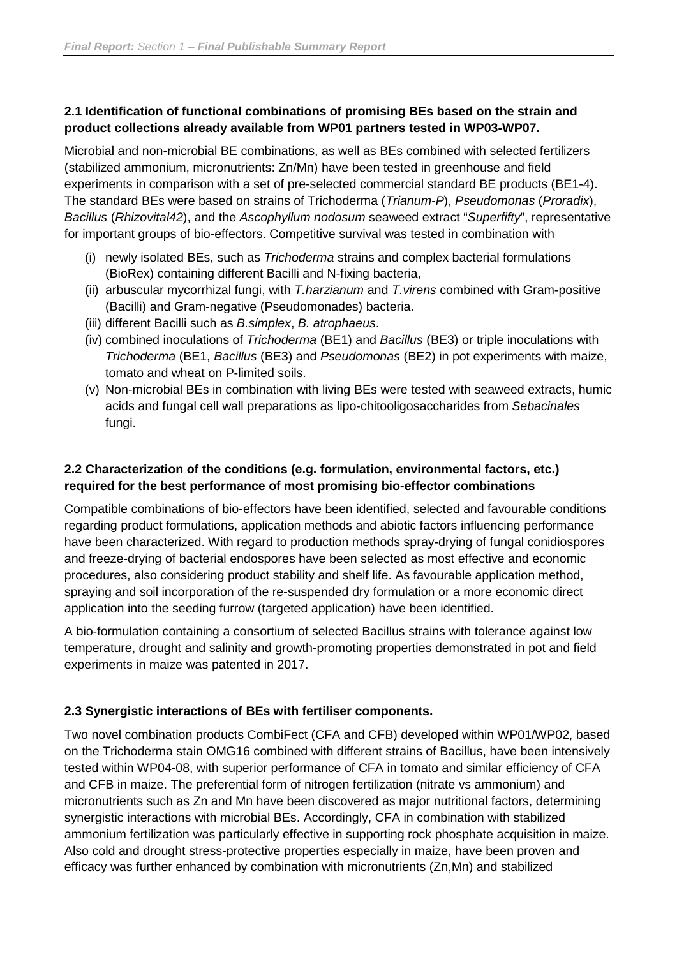#### **2.1 Identification of functional combinations of promising BEs based on the strain and product collections already available from WP01 partners tested in WP03-WP07.**

Microbial and non-microbial BE combinations, as well as BEs combined with selected fertilizers (stabilized ammonium, micronutrients: Zn/Mn) have been tested in greenhouse and field experiments in comparison with a set of pre-selected commercial standard BE products (BE1-4). The standard BEs were based on strains of Trichoderma (*Trianum-P*), *Pseudomonas* (*Proradix*), *Bacillus* (*Rhizovital42*), and the *Ascophyllum nodosum* seaweed extract "*Superfifty*", representative for important groups of bio-effectors. Competitive survival was tested in combination with

- (i) newly isolated BEs, such as *Trichoderma* strains and complex bacterial formulations (BioRex) containing different Bacilli and N-fixing bacteria,
- (ii) arbuscular mycorrhizal fungi, with *T.harzianum* and *T.virens* combined with Gram-positive (Bacilli) and Gram-negative (Pseudomonades) bacteria.
- (iii) different Bacilli such as *B.simplex*, *B. atrophaeus*.
- (iv) combined inoculations of *Trichoderma* (BE1) and *Bacillus* (BE3) or triple inoculations with *Trichoderma* (BE1, *Bacillus* (BE3) and *Pseudomonas* (BE2) in pot experiments with maize, tomato and wheat on P-limited soils.
- (v) Non-microbial BEs in combination with living BEs were tested with seaweed extracts, humic acids and fungal cell wall preparations as lipo-chitooligosaccharides from *Sebacinales* fungi.

#### **2.2 Characterization of the conditions (e.g. formulation, environmental factors, etc.) required for the best performance of most promising bio-effector combinations**

Compatible combinations of bio-effectors have been identified, selected and favourable conditions regarding product formulations, application methods and abiotic factors influencing performance have been characterized. With regard to production methods spray-drying of fungal conidiospores and freeze-drying of bacterial endospores have been selected as most effective and economic procedures, also considering product stability and shelf life. As favourable application method, spraying and soil incorporation of the re-suspended dry formulation or a more economic direct application into the seeding furrow (targeted application) have been identified.

A bio-formulation containing a consortium of selected Bacillus strains with tolerance against low temperature, drought and salinity and growth-promoting properties demonstrated in pot and field experiments in maize was patented in 2017.

#### **2.3 Synergistic interactions of BEs with fertiliser components.**

Two novel combination products CombiFect (CFA and CFB) developed within WP01/WP02, based on the Trichoderma stain OMG16 combined with different strains of Bacillus, have been intensively tested within WP04-08, with superior performance of CFA in tomato and similar efficiency of CFA and CFB in maize. The preferential form of nitrogen fertilization (nitrate vs ammonium) and micronutrients such as Zn and Mn have been discovered as major nutritional factors, determining synergistic interactions with microbial BEs. Accordingly, CFA in combination with stabilized ammonium fertilization was particularly effective in supporting rock phosphate acquisition in maize. Also cold and drought stress-protective properties especially in maize, have been proven and efficacy was further enhanced by combination with micronutrients (Zn,Mn) and stabilized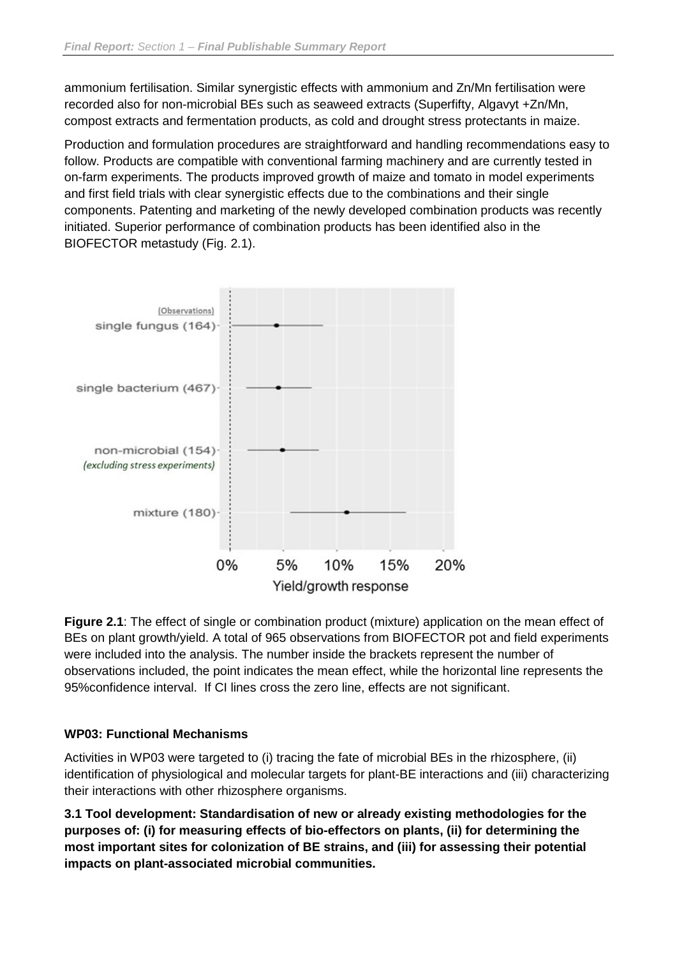ammonium fertilisation. Similar synergistic effects with ammonium and Zn/Mn fertilisation were recorded also for non-microbial BEs such as seaweed extracts (Superfifty, Algavyt +Zn/Mn, compost extracts and fermentation products, as cold and drought stress protectants in maize.

Production and formulation procedures are straightforward and handling recommendations easy to follow. Products are compatible with conventional farming machinery and are currently tested in on-farm experiments. The products improved growth of maize and tomato in model experiments and first field trials with clear synergistic effects due to the combinations and their single components. Patenting and marketing of the newly developed combination products was recently initiated. Superior performance of combination products has been identified also in the BIOFECTOR metastudy (Fig. 2.1).



**Figure 2.1**: The effect of single or combination product (mixture) application on the mean effect of BEs on plant growth/yield. A total of 965 observations from BIOFECTOR pot and field experiments were included into the analysis. The number inside the brackets represent the number of observations included, the point indicates the mean effect, while the horizontal line represents the 95%confidence interval. If CI lines cross the zero line, effects are not significant.

#### **WP03: Functional Mechanisms**

Activities in WP03 were targeted to (i) tracing the fate of microbial BEs in the rhizosphere, (ii) identification of physiological and molecular targets for plant-BE interactions and (iii) characterizing their interactions with other rhizosphere organisms.

**3.1 Tool development: Standardisation of new or already existing methodologies for the purposes of: (i) for measuring effects of bio-effectors on plants, (ii) for determining the most important sites for colonization of BE strains, and (iii) for assessing their potential impacts on plant-associated microbial communities.**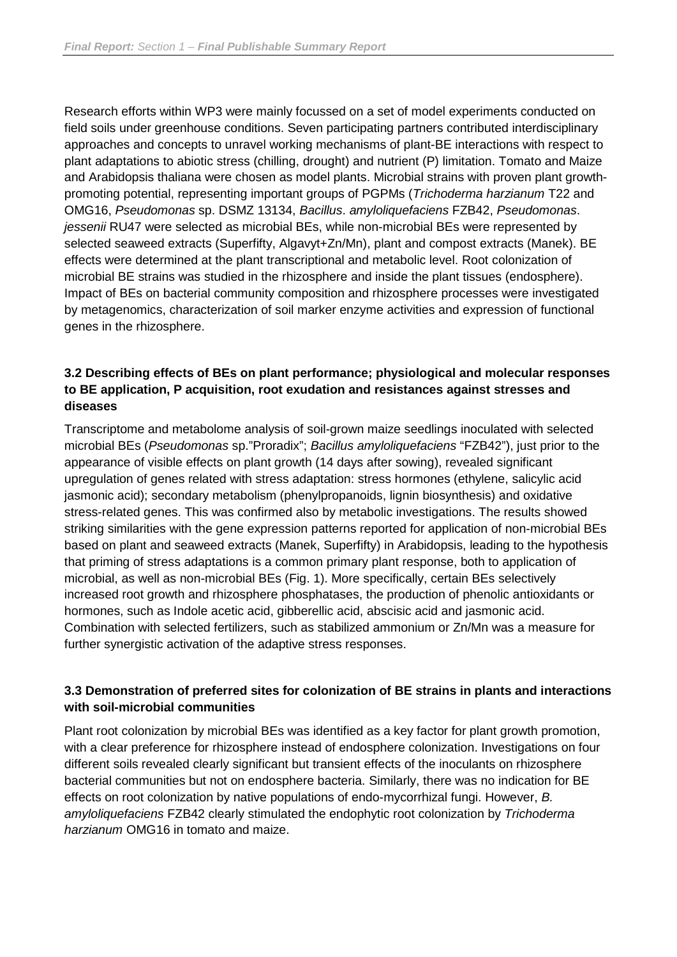Research efforts within WP3 were mainly focussed on a set of model experiments conducted on field soils under greenhouse conditions. Seven participating partners contributed interdisciplinary approaches and concepts to unravel working mechanisms of plant-BE interactions with respect to plant adaptations to abiotic stress (chilling, drought) and nutrient (P) limitation. Tomato and Maize and Arabidopsis thaliana were chosen as model plants. Microbial strains with proven plant growthpromoting potential, representing important groups of PGPMs (*Trichoderma harzianum* T22 and OMG16, *Pseudomonas* sp. DSMZ 13134, *Bacillus*. *amyloliquefaciens* FZB42, *Pseudomonas*. *jessenii* RU47 were selected as microbial BEs, while non-microbial BEs were represented by selected seaweed extracts (Superfifty, Algavyt+Zn/Mn), plant and compost extracts (Manek). BE effects were determined at the plant transcriptional and metabolic level. Root colonization of microbial BE strains was studied in the rhizosphere and inside the plant tissues (endosphere). Impact of BEs on bacterial community composition and rhizosphere processes were investigated by metagenomics, characterization of soil marker enzyme activities and expression of functional genes in the rhizosphere.

#### **3.2 Describing effects of BEs on plant performance; physiological and molecular responses to BE application, P acquisition, root exudation and resistances against stresses and diseases**

Transcriptome and metabolome analysis of soil-grown maize seedlings inoculated with selected microbial BEs (*Pseudomonas* sp."Proradix"; *Bacillus amyloliquefaciens* "FZB42"), just prior to the appearance of visible effects on plant growth (14 days after sowing), revealed significant upregulation of genes related with stress adaptation: stress hormones (ethylene, salicylic acid jasmonic acid); secondary metabolism (phenylpropanoids, lignin biosynthesis) and oxidative stress-related genes. This was confirmed also by metabolic investigations. The results showed striking similarities with the gene expression patterns reported for application of non-microbial BEs based on plant and seaweed extracts (Manek, Superfifty) in Arabidopsis, leading to the hypothesis that priming of stress adaptations is a common primary plant response, both to application of microbial, as well as non-microbial BEs (Fig. 1). More specifically, certain BEs selectively increased root growth and rhizosphere phosphatases, the production of phenolic antioxidants or hormones, such as Indole acetic acid, gibberellic acid, abscisic acid and jasmonic acid. Combination with selected fertilizers, such as stabilized ammonium or Zn/Mn was a measure for further synergistic activation of the adaptive stress responses.

#### **3.3 Demonstration of preferred sites for colonization of BE strains in plants and interactions with soil-microbial communities**

Plant root colonization by microbial BEs was identified as a key factor for plant growth promotion, with a clear preference for rhizosphere instead of endosphere colonization. Investigations on four different soils revealed clearly significant but transient effects of the inoculants on rhizosphere bacterial communities but not on endosphere bacteria. Similarly, there was no indication for BE effects on root colonization by native populations of endo-mycorrhizal fungi. However, *B. amyloliquefaciens* FZB42 clearly stimulated the endophytic root colonization by *Trichoderma harzianum* OMG16 in tomato and maize.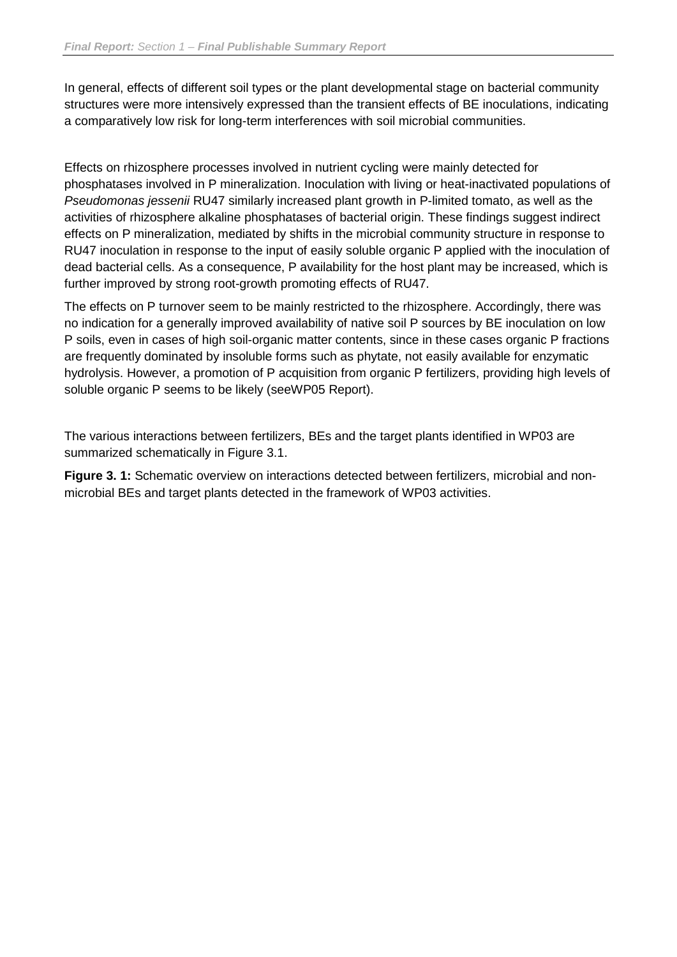In general, effects of different soil types or the plant developmental stage on bacterial community structures were more intensively expressed than the transient effects of BE inoculations, indicating a comparatively low risk for long-term interferences with soil microbial communities.

Effects on rhizosphere processes involved in nutrient cycling were mainly detected for phosphatases involved in P mineralization. Inoculation with living or heat-inactivated populations of *Pseudomonas jessenii* RU47 similarly increased plant growth in P-limited tomato, as well as the activities of rhizosphere alkaline phosphatases of bacterial origin. These findings suggest indirect effects on P mineralization, mediated by shifts in the microbial community structure in response to RU47 inoculation in response to the input of easily soluble organic P applied with the inoculation of dead bacterial cells. As a consequence, P availability for the host plant may be increased, which is further improved by strong root-growth promoting effects of RU47.

The effects on P turnover seem to be mainly restricted to the rhizosphere. Accordingly, there was no indication for a generally improved availability of native soil P sources by BE inoculation on low P soils, even in cases of high soil-organic matter contents, since in these cases organic P fractions are frequently dominated by insoluble forms such as phytate, not easily available for enzymatic hydrolysis. However, a promotion of P acquisition from organic P fertilizers, providing high levels of soluble organic P seems to be likely (seeWP05 Report).

The various interactions between fertilizers, BEs and the target plants identified in WP03 are summarized schematically in Figure 3.1.

**Figure 3. 1:** Schematic overview on interactions detected between fertilizers, microbial and nonmicrobial BEs and target plants detected in the framework of WP03 activities.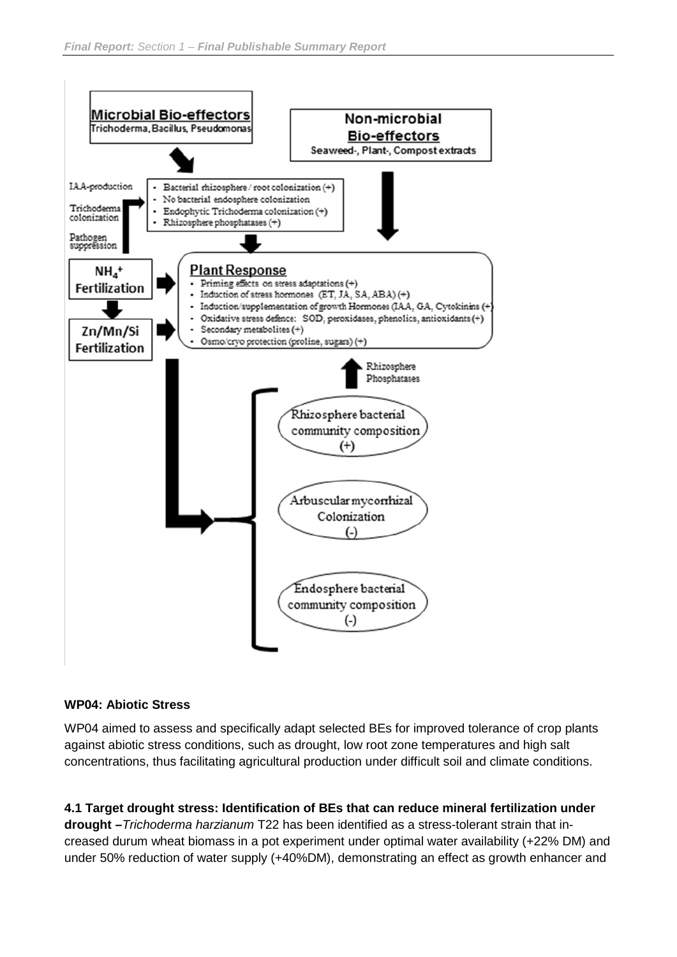

#### **WP04: Abiotic Stress**

WP04 aimed to assess and specifically adapt selected BEs for improved tolerance of crop plants against abiotic stress conditions, such as drought, low root zone temperatures and high salt concentrations, thus facilitating agricultural production under difficult soil and climate conditions.

**4.1 Target drought stress: Identification of BEs that can reduce mineral fertilization under drought –***Trichoderma harzianum* T22 has been identified as a stress-tolerant strain that increased durum wheat biomass in a pot experiment under optimal water availability (+22% DM) and under 50% reduction of water supply (+40%DM), demonstrating an effect as growth enhancer and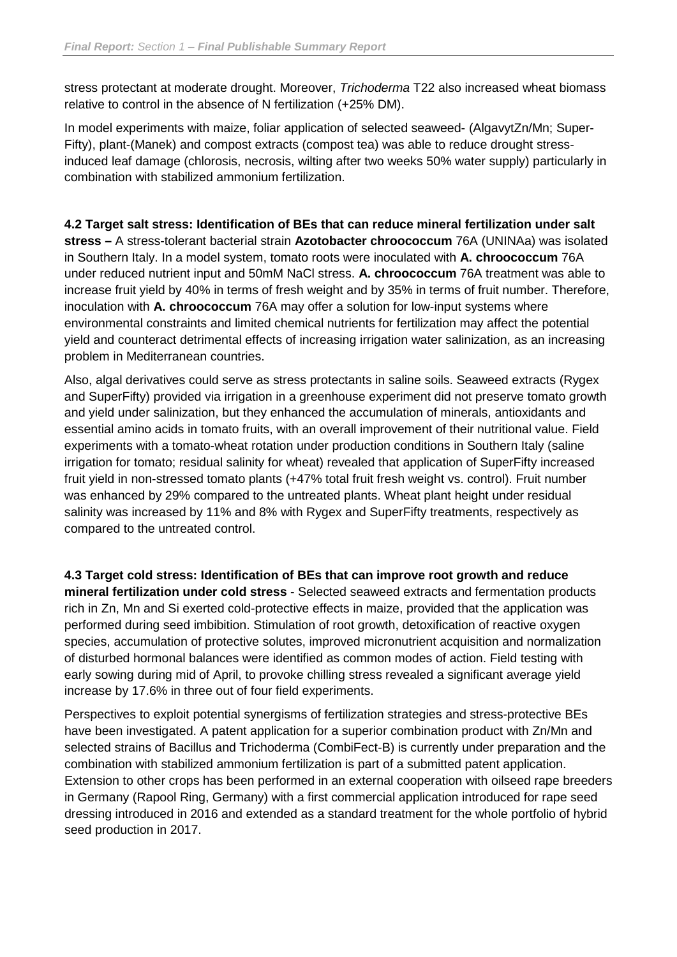stress protectant at moderate drought. Moreover, *Trichoderma* T22 also increased wheat biomass relative to control in the absence of N fertilization (+25% DM).

In model experiments with maize, foliar application of selected seaweed- (AlgavytZn/Mn; Super-Fifty), plant-(Manek) and compost extracts (compost tea) was able to reduce drought stressinduced leaf damage (chlorosis, necrosis, wilting after two weeks 50% water supply) particularly in combination with stabilized ammonium fertilization.

**4.2 Target salt stress: Identification of BEs that can reduce mineral fertilization under salt stress –** A stress-tolerant bacterial strain **Azotobacter chroococcum** 76A (UNINAa) was isolated in Southern Italy. In a model system, tomato roots were inoculated with **A. chroococcum** 76A under reduced nutrient input and 50mM NaCl stress. **A. chroococcum** 76A treatment was able to increase fruit yield by 40% in terms of fresh weight and by 35% in terms of fruit number. Therefore, inoculation with **A. chroococcum** 76A may offer a solution for low-input systems where environmental constraints and limited chemical nutrients for fertilization may affect the potential yield and counteract detrimental effects of increasing irrigation water salinization, as an increasing problem in Mediterranean countries.

Also, algal derivatives could serve as stress protectants in saline soils. Seaweed extracts (Rygex and SuperFifty) provided via irrigation in a greenhouse experiment did not preserve tomato growth and yield under salinization, but they enhanced the accumulation of minerals, antioxidants and essential amino acids in tomato fruits, with an overall improvement of their nutritional value. Field experiments with a tomato-wheat rotation under production conditions in Southern Italy (saline irrigation for tomato; residual salinity for wheat) revealed that application of SuperFifty increased fruit yield in non-stressed tomato plants (+47% total fruit fresh weight vs. control). Fruit number was enhanced by 29% compared to the untreated plants. Wheat plant height under residual salinity was increased by 11% and 8% with Rygex and SuperFifty treatments, respectively as compared to the untreated control.

**4.3 Target cold stress: Identification of BEs that can improve root growth and reduce mineral fertilization under cold stress** - Selected seaweed extracts and fermentation products rich in Zn, Mn and Si exerted cold-protective effects in maize, provided that the application was performed during seed imbibition. Stimulation of root growth, detoxification of reactive oxygen species, accumulation of protective solutes, improved micronutrient acquisition and normalization of disturbed hormonal balances were identified as common modes of action. Field testing with early sowing during mid of April, to provoke chilling stress revealed a significant average yield increase by 17.6% in three out of four field experiments.

Perspectives to exploit potential synergisms of fertilization strategies and stress-protective BEs have been investigated. A patent application for a superior combination product with Zn/Mn and selected strains of Bacillus and Trichoderma (CombiFect-B) is currently under preparation and the combination with stabilized ammonium fertilization is part of a submitted patent application. Extension to other crops has been performed in an external cooperation with oilseed rape breeders in Germany (Rapool Ring, Germany) with a first commercial application introduced for rape seed dressing introduced in 2016 and extended as a standard treatment for the whole portfolio of hybrid seed production in 2017.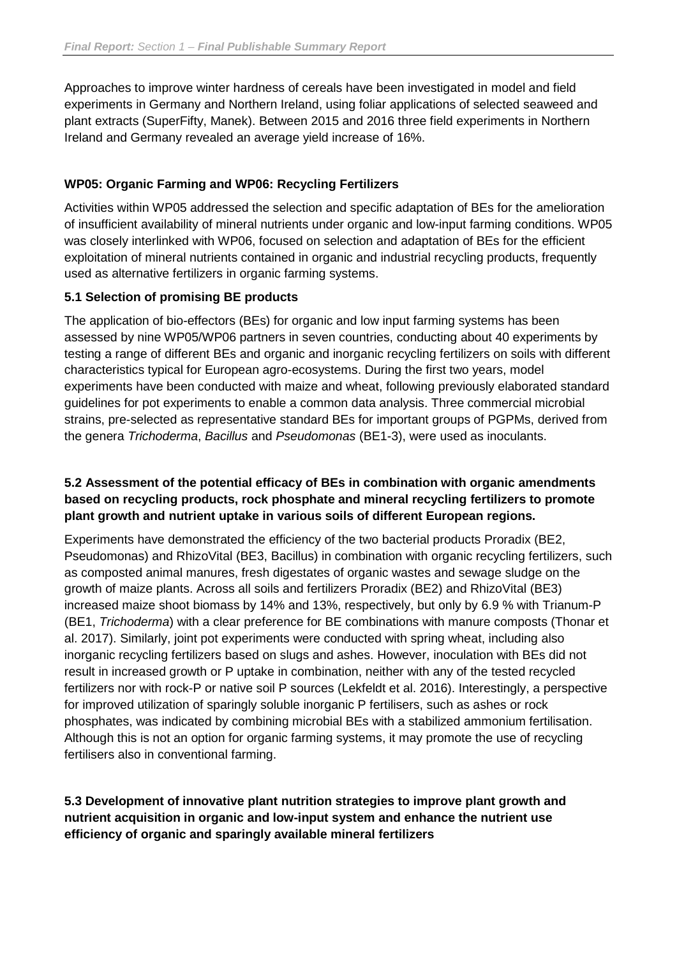Approaches to improve winter hardness of cereals have been investigated in model and field experiments in Germany and Northern Ireland, using foliar applications of selected seaweed and plant extracts (SuperFifty, Manek). Between 2015 and 2016 three field experiments in Northern Ireland and Germany revealed an average yield increase of 16%.

#### **WP05: Organic Farming and WP06: Recycling Fertilizers**

Activities within WP05 addressed the selection and specific adaptation of BEs for the amelioration of insufficient availability of mineral nutrients under organic and low-input farming conditions. WP05 was closely interlinked with WP06, focused on selection and adaptation of BEs for the efficient exploitation of mineral nutrients contained in organic and industrial recycling products, frequently used as alternative fertilizers in organic farming systems.

#### **5.1 Selection of promising BE products**

The application of bio-effectors (BEs) for organic and low input farming systems has been assessed by nine WP05/WP06 partners in seven countries, conducting about 40 experiments by testing a range of different BEs and organic and inorganic recycling fertilizers on soils with different characteristics typical for European agro-ecosystems. During the first two years, model experiments have been conducted with maize and wheat, following previously elaborated standard guidelines for pot experiments to enable a common data analysis. Three commercial microbial strains, pre-selected as representative standard BEs for important groups of PGPMs, derived from the genera *Trichoderma*, *Bacillus* and *Pseudomonas* (BE1-3), were used as inoculants.

#### **5.2 Assessment of the potential efficacy of BEs in combination with organic amendments based on recycling products, rock phosphate and mineral recycling fertilizers to promote plant growth and nutrient uptake in various soils of different European regions.**

Experiments have demonstrated the efficiency of the two bacterial products Proradix (BE2, Pseudomonas) and RhizoVital (BE3, Bacillus) in combination with organic recycling fertilizers, such as composted animal manures, fresh digestates of organic wastes and sewage sludge on the growth of maize plants. Across all soils and fertilizers Proradix (BE2) and RhizoVital (BE3) increased maize shoot biomass by 14% and 13%, respectively, but only by 6.9 % with Trianum-P (BE1, *Trichoderma*) with a clear preference for BE combinations with manure composts (Thonar et al. 2017). Similarly, joint pot experiments were conducted with spring wheat, including also inorganic recycling fertilizers based on slugs and ashes. However, inoculation with BEs did not result in increased growth or P uptake in combination, neither with any of the tested recycled fertilizers nor with rock-P or native soil P sources (Lekfeldt et al. 2016). Interestingly, a perspective for improved utilization of sparingly soluble inorganic P fertilisers, such as ashes or rock phosphates, was indicated by combining microbial BEs with a stabilized ammonium fertilisation. Although this is not an option for organic farming systems, it may promote the use of recycling fertilisers also in conventional farming.

**5.3 Development of innovative plant nutrition strategies to improve plant growth and nutrient acquisition in organic and low-input system and enhance the nutrient use efficiency of organic and sparingly available mineral fertilizers**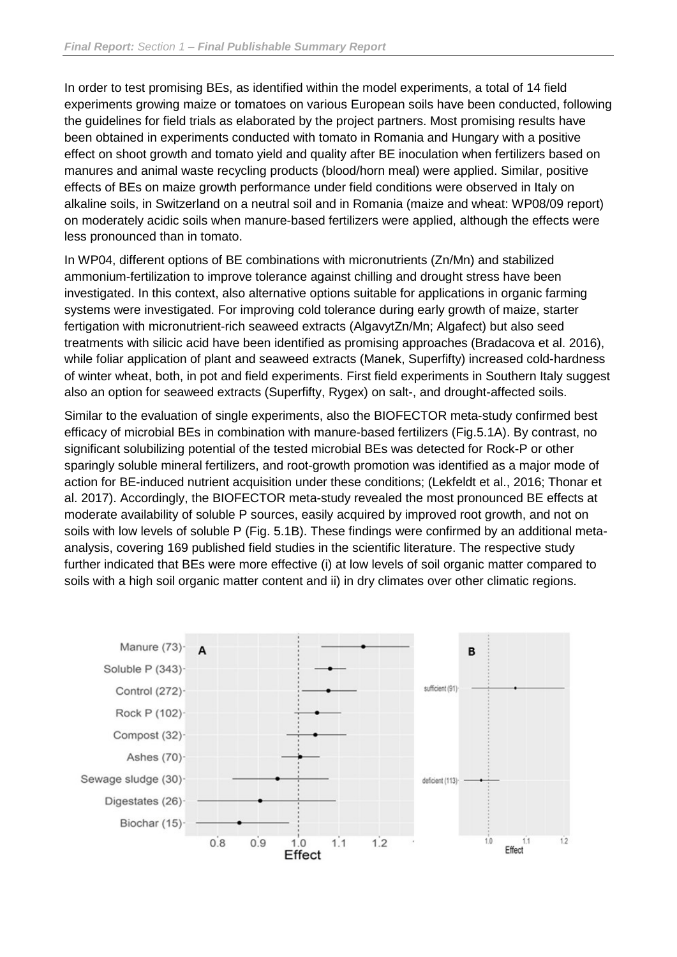In order to test promising BEs, as identified within the model experiments, a total of 14 field experiments growing maize or tomatoes on various European soils have been conducted, following the guidelines for field trials as elaborated by the project partners. Most promising results have been obtained in experiments conducted with tomato in Romania and Hungary with a positive effect on shoot growth and tomato yield and quality after BE inoculation when fertilizers based on manures and animal waste recycling products (blood/horn meal) were applied. Similar, positive effects of BEs on maize growth performance under field conditions were observed in Italy on alkaline soils, in Switzerland on a neutral soil and in Romania (maize and wheat: WP08/09 report) on moderately acidic soils when manure-based fertilizers were applied, although the effects were less pronounced than in tomato.

In WP04, different options of BE combinations with micronutrients (Zn/Mn) and stabilized ammonium-fertilization to improve tolerance against chilling and drought stress have been investigated. In this context, also alternative options suitable for applications in organic farming systems were investigated. For improving cold tolerance during early growth of maize, starter fertigation with micronutrient-rich seaweed extracts (AlgavytZn/Mn; Algafect) but also seed treatments with silicic acid have been identified as promising approaches (Bradacova et al. 2016), while foliar application of plant and seaweed extracts (Manek, Superfifty) increased cold-hardness of winter wheat, both, in pot and field experiments. First field experiments in Southern Italy suggest also an option for seaweed extracts (Superfifty, Rygex) on salt-, and drought-affected soils.

Similar to the evaluation of single experiments, also the BIOFECTOR meta-study confirmed best efficacy of microbial BEs in combination with manure-based fertilizers (Fig.5.1A). By contrast, no significant solubilizing potential of the tested microbial BEs was detected for Rock-P or other sparingly soluble mineral fertilizers, and root-growth promotion was identified as a major mode of action for BE-induced nutrient acquisition under these conditions; (Lekfeldt et al., 2016; Thonar et al. 2017). Accordingly, the BIOFECTOR meta-study revealed the most pronounced BE effects at moderate availability of soluble P sources, easily acquired by improved root growth, and not on soils with low levels of soluble P (Fig. 5.1B). These findings were confirmed by an additional metaanalysis, covering 169 published field studies in the scientific literature. The respective study further indicated that BEs were more effective (i) at low levels of soil organic matter compared to soils with a high soil organic matter content and ii) in dry climates over other climatic regions.

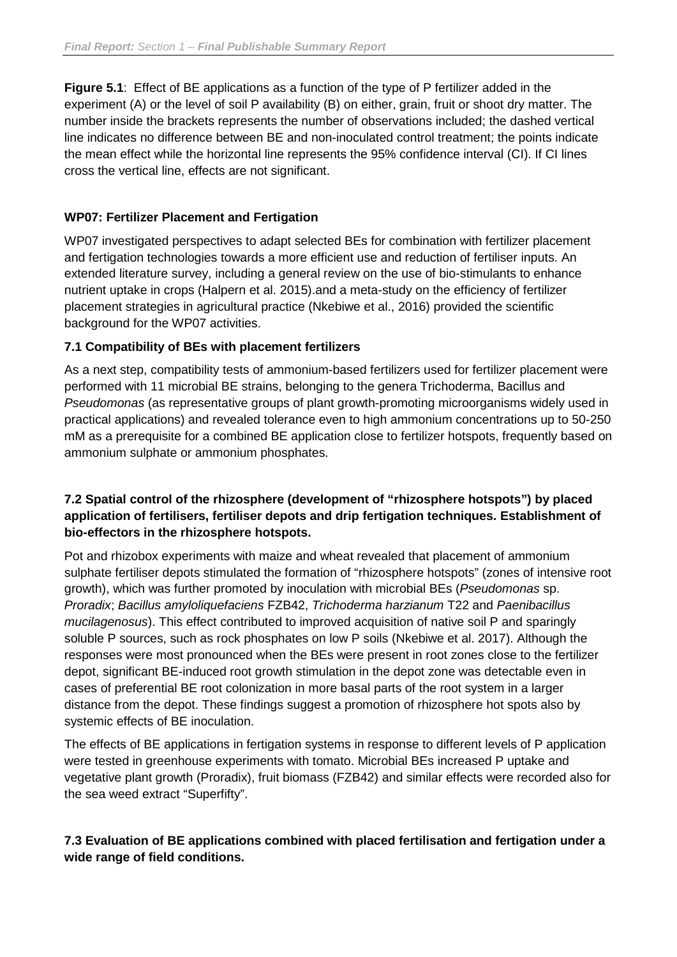**Figure 5.1**: Effect of BE applications as a function of the type of P fertilizer added in the experiment (A) or the level of soil P availability (B) on either, grain, fruit or shoot dry matter. The number inside the brackets represents the number of observations included; the dashed vertical line indicates no difference between BE and non-inoculated control treatment; the points indicate the mean effect while the horizontal line represents the 95% confidence interval (CI). If CI lines cross the vertical line, effects are not significant.

#### **WP07: Fertilizer Placement and Fertigation**

WP07 investigated perspectives to adapt selected BEs for combination with fertilizer placement and fertigation technologies towards a more efficient use and reduction of fertiliser inputs. An extended literature survey, including a general review on the use of bio-stimulants to enhance nutrient uptake in crops (Halpern et al. 2015).and a meta-study on the efficiency of fertilizer placement strategies in agricultural practice (Nkebiwe et al., 2016) provided the scientific background for the WP07 activities.

#### **7.1 Compatibility of BEs with placement fertilizers**

As a next step, compatibility tests of ammonium-based fertilizers used for fertilizer placement were performed with 11 microbial BE strains, belonging to the genera Trichoderma, Bacillus and *Pseudomonas* (as representative groups of plant growth-promoting microorganisms widely used in practical applications) and revealed tolerance even to high ammonium concentrations up to 50-250 mM as a prerequisite for a combined BE application close to fertilizer hotspots, frequently based on ammonium sulphate or ammonium phosphates.

#### **7.2 Spatial control of the rhizosphere (development of "rhizosphere hotspots") by placed application of fertilisers, fertiliser depots and drip fertigation techniques. Establishment of bio-effectors in the rhizosphere hotspots.**

Pot and rhizobox experiments with maize and wheat revealed that placement of ammonium sulphate fertiliser depots stimulated the formation of "rhizosphere hotspots" (zones of intensive root growth), which was further promoted by inoculation with microbial BEs (*Pseudomonas* sp. *Proradix*; *Bacillus amyloliquefaciens* FZB42, *Trichoderma harzianum* T22 and *Paenibacillus mucilagenosus*). This effect contributed to improved acquisition of native soil P and sparingly soluble P sources, such as rock phosphates on low P soils (Nkebiwe et al. 2017). Although the responses were most pronounced when the BEs were present in root zones close to the fertilizer depot, significant BE-induced root growth stimulation in the depot zone was detectable even in cases of preferential BE root colonization in more basal parts of the root system in a larger distance from the depot. These findings suggest a promotion of rhizosphere hot spots also by systemic effects of BE inoculation.

The effects of BE applications in fertigation systems in response to different levels of P application were tested in greenhouse experiments with tomato. Microbial BEs increased P uptake and vegetative plant growth (Proradix), fruit biomass (FZB42) and similar effects were recorded also for the sea weed extract "Superfifty".

#### **7.3 Evaluation of BE applications combined with placed fertilisation and fertigation under a wide range of field conditions.**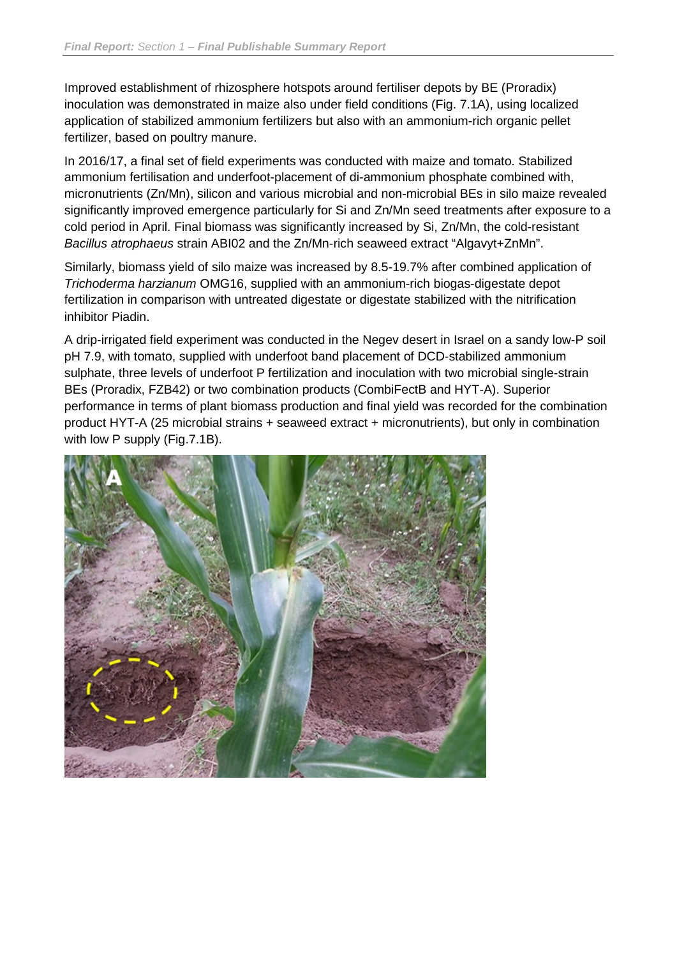Improved establishment of rhizosphere hotspots around fertiliser depots by BE (Proradix) inoculation was demonstrated in maize also under field conditions (Fig. 7.1A), using localized application of stabilized ammonium fertilizers but also with an ammonium-rich organic pellet fertilizer, based on poultry manure.

In 2016/17, a final set of field experiments was conducted with maize and tomato. Stabilized ammonium fertilisation and underfoot-placement of di-ammonium phosphate combined with, micronutrients (Zn/Mn), silicon and various microbial and non-microbial BEs in silo maize revealed significantly improved emergence particularly for Si and Zn/Mn seed treatments after exposure to a cold period in April. Final biomass was significantly increased by Si, Zn/Mn, the cold-resistant *Bacillus atrophaeus* strain ABI02 and the Zn/Mn-rich seaweed extract "Algavyt+ZnMn".

Similarly, biomass yield of silo maize was increased by 8.5-19.7% after combined application of *Trichoderma harzianum* OMG16, supplied with an ammonium-rich biogas-digestate depot fertilization in comparison with untreated digestate or digestate stabilized with the nitrification inhibitor Piadin.

A drip-irrigated field experiment was conducted in the Negev desert in Israel on a sandy low-P soil pH 7.9, with tomato, supplied with underfoot band placement of DCD-stabilized ammonium sulphate, three levels of underfoot P fertilization and inoculation with two microbial single-strain BEs (Proradix, FZB42) or two combination products (CombiFectB and HYT-A). Superior performance in terms of plant biomass production and final yield was recorded for the combination product HYT-A (25 microbial strains + seaweed extract + micronutrients), but only in combination with low P supply (Fig.7.1B).

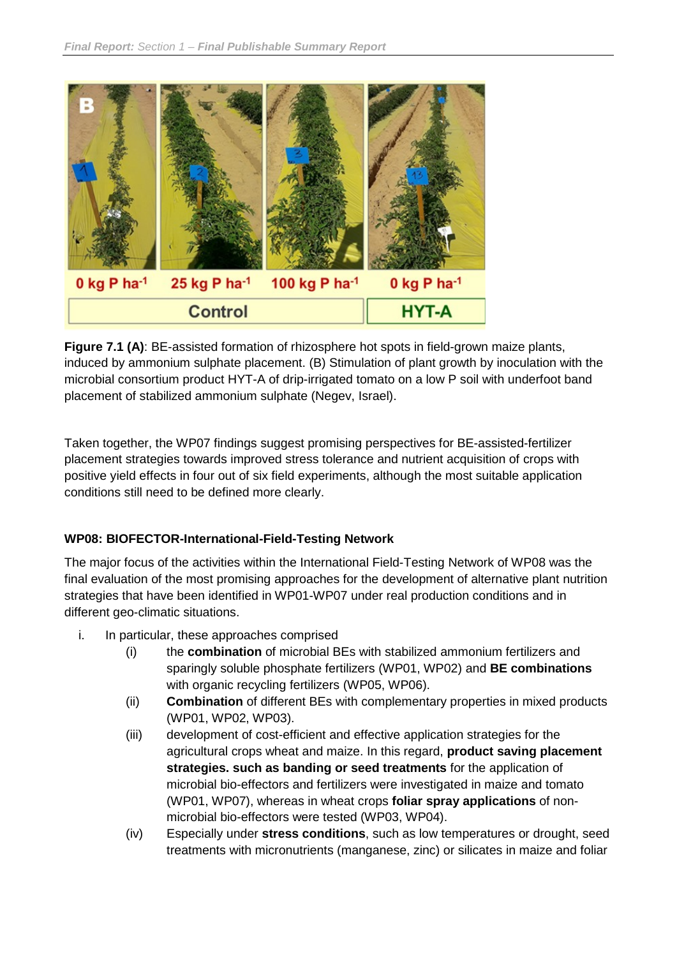

**Figure 7.1 (A):** BE-assisted formation of rhizosphere hot spots in field-grown maize plants, induced by ammonium sulphate placement. (B) Stimulation of plant growth by inoculation with the microbial consortium product HYT-A of drip-irrigated tomato on a low P soil with underfoot band placement of stabilized ammonium sulphate (Negev, Israel).

Taken together, the WP07 findings suggest promising perspectives for BE-assisted-fertilizer placement strategies towards improved stress tolerance and nutrient acquisition of crops with positive yield effects in four out of six field experiments, although the most suitable application conditions still need to be defined more clearly.

#### **WP08: BIOFECTOR-International-Field-Testing Network**

The major focus of the activities within the International Field-Testing Network of WP08 was the final evaluation of the most promising approaches for the development of alternative plant nutrition strategies that have been identified in WP01-WP07 under real production conditions and in different geo-climatic situations.

- i. In particular, these approaches comprised
	- (i) the **combination** of microbial BEs with stabilized ammonium fertilizers and sparingly soluble phosphate fertilizers (WP01, WP02) and **BE combinations**  with organic recycling fertilizers (WP05, WP06).
	- (ii) **Combination** of different BEs with complementary properties in mixed products (WP01, WP02, WP03).
	- (iii) development of cost-efficient and effective application strategies for the agricultural crops wheat and maize. In this regard, **product saving placement strategies. such as banding or seed treatments** for the application of microbial bio-effectors and fertilizers were investigated in maize and tomato (WP01, WP07), whereas in wheat crops **foliar spray applications** of nonmicrobial bio-effectors were tested (WP03, WP04).
	- (iv) Especially under **stress conditions**, such as low temperatures or drought, seed treatments with micronutrients (manganese, zinc) or silicates in maize and foliar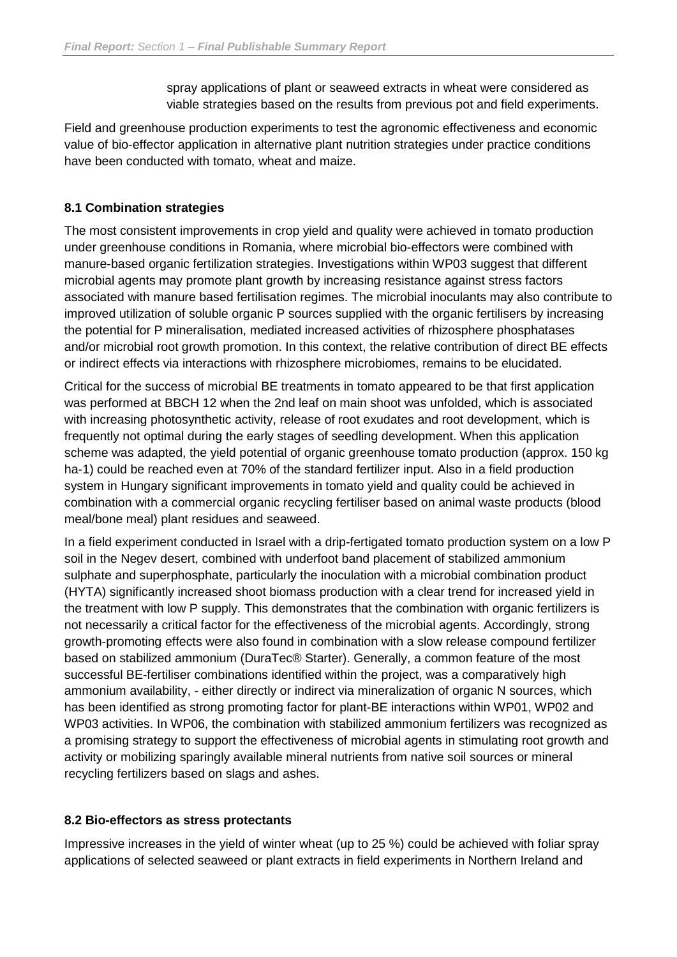spray applications of plant or seaweed extracts in wheat were considered as viable strategies based on the results from previous pot and field experiments.

Field and greenhouse production experiments to test the agronomic effectiveness and economic value of bio-effector application in alternative plant nutrition strategies under practice conditions have been conducted with tomato, wheat and maize.

#### **8.1 Combination strategies**

The most consistent improvements in crop yield and quality were achieved in tomato production under greenhouse conditions in Romania, where microbial bio-effectors were combined with manure-based organic fertilization strategies. Investigations within WP03 suggest that different microbial agents may promote plant growth by increasing resistance against stress factors associated with manure based fertilisation regimes. The microbial inoculants may also contribute to improved utilization of soluble organic P sources supplied with the organic fertilisers by increasing the potential for P mineralisation, mediated increased activities of rhizosphere phosphatases and/or microbial root growth promotion. In this context, the relative contribution of direct BE effects or indirect effects via interactions with rhizosphere microbiomes, remains to be elucidated.

Critical for the success of microbial BE treatments in tomato appeared to be that first application was performed at BBCH 12 when the 2nd leaf on main shoot was unfolded, which is associated with increasing photosynthetic activity, release of root exudates and root development, which is frequently not optimal during the early stages of seedling development. When this application scheme was adapted, the yield potential of organic greenhouse tomato production (approx. 150 kg ha-1) could be reached even at 70% of the standard fertilizer input. Also in a field production system in Hungary significant improvements in tomato yield and quality could be achieved in combination with a commercial organic recycling fertiliser based on animal waste products (blood meal/bone meal) plant residues and seaweed.

In a field experiment conducted in Israel with a drip-fertigated tomato production system on a low P soil in the Negev desert, combined with underfoot band placement of stabilized ammonium sulphate and superphosphate, particularly the inoculation with a microbial combination product (HYTA) significantly increased shoot biomass production with a clear trend for increased yield in the treatment with low P supply. This demonstrates that the combination with organic fertilizers is not necessarily a critical factor for the effectiveness of the microbial agents. Accordingly, strong growth-promoting effects were also found in combination with a slow release compound fertilizer based on stabilized ammonium (DuraTec® Starter). Generally, a common feature of the most successful BE-fertiliser combinations identified within the project, was a comparatively high ammonium availability, - either directly or indirect via mineralization of organic N sources, which has been identified as strong promoting factor for plant-BE interactions within WP01, WP02 and WP03 activities. In WP06, the combination with stabilized ammonium fertilizers was recognized as a promising strategy to support the effectiveness of microbial agents in stimulating root growth and activity or mobilizing sparingly available mineral nutrients from native soil sources or mineral recycling fertilizers based on slags and ashes.

#### **8.2 Bio-effectors as stress protectants**

Impressive increases in the yield of winter wheat (up to 25 %) could be achieved with foliar spray applications of selected seaweed or plant extracts in field experiments in Northern Ireland and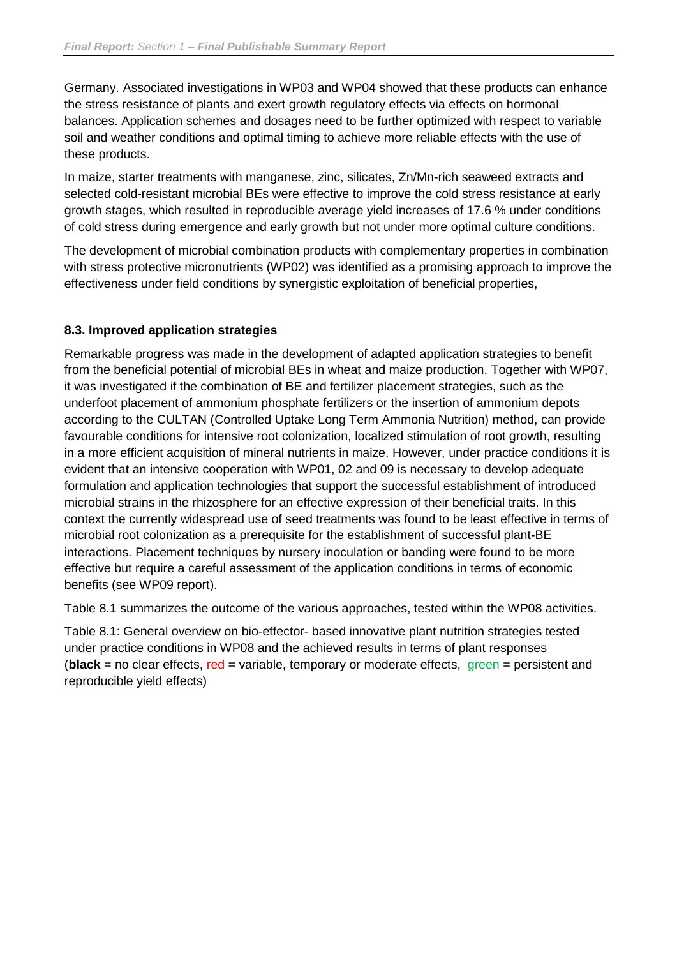Germany. Associated investigations in WP03 and WP04 showed that these products can enhance the stress resistance of plants and exert growth regulatory effects via effects on hormonal balances. Application schemes and dosages need to be further optimized with respect to variable soil and weather conditions and optimal timing to achieve more reliable effects with the use of these products.

In maize, starter treatments with manganese, zinc, silicates, Zn/Mn-rich seaweed extracts and selected cold-resistant microbial BEs were effective to improve the cold stress resistance at early growth stages, which resulted in reproducible average yield increases of 17.6 % under conditions of cold stress during emergence and early growth but not under more optimal culture conditions.

The development of microbial combination products with complementary properties in combination with stress protective micronutrients (WP02) was identified as a promising approach to improve the effectiveness under field conditions by synergistic exploitation of beneficial properties,

#### **8.3. Improved application strategies**

Remarkable progress was made in the development of adapted application strategies to benefit from the beneficial potential of microbial BEs in wheat and maize production. Together with WP07, it was investigated if the combination of BE and fertilizer placement strategies, such as the underfoot placement of ammonium phosphate fertilizers or the insertion of ammonium depots according to the CULTAN (Controlled Uptake Long Term Ammonia Nutrition) method, can provide favourable conditions for intensive root colonization, localized stimulation of root growth, resulting in a more efficient acquisition of mineral nutrients in maize. However, under practice conditions it is evident that an intensive cooperation with WP01, 02 and 09 is necessary to develop adequate formulation and application technologies that support the successful establishment of introduced microbial strains in the rhizosphere for an effective expression of their beneficial traits. In this context the currently widespread use of seed treatments was found to be least effective in terms of microbial root colonization as a prerequisite for the establishment of successful plant-BE interactions. Placement techniques by nursery inoculation or banding were found to be more effective but require a careful assessment of the application conditions in terms of economic benefits (see WP09 report).

Table 8.1 summarizes the outcome of the various approaches, tested within the WP08 activities.

Table 8.1: General overview on bio-effector- based innovative plant nutrition strategies tested under practice conditions in WP08 and the achieved results in terms of plant responses (**black** = no clear effects, red = variable, temporary or moderate effects, green = persistent and reproducible yield effects)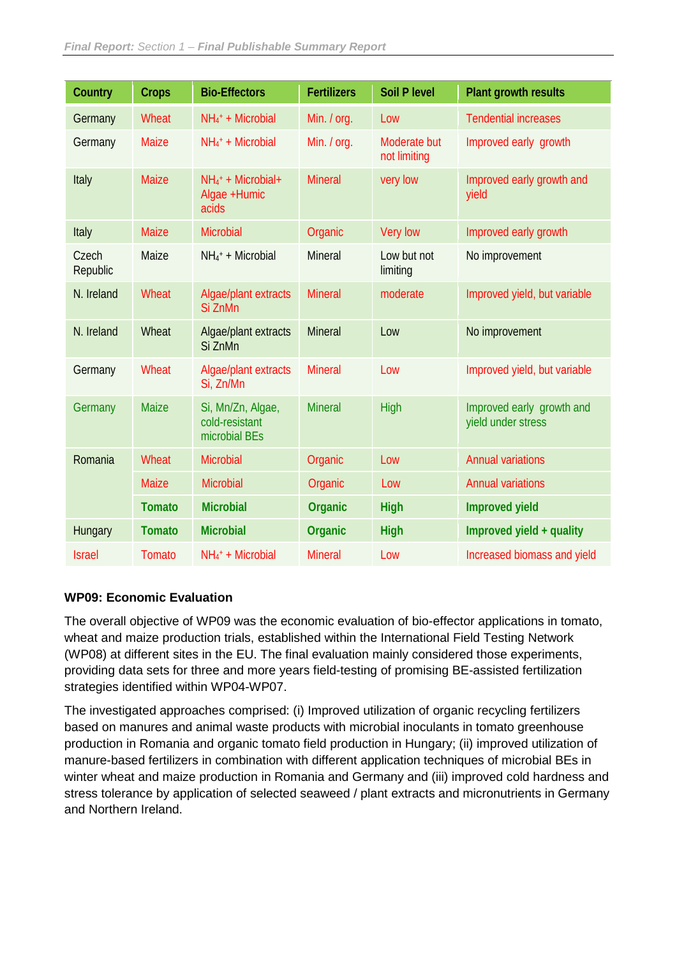| Country           | <b>Crops</b>  | <b>Bio-Effectors</b>                                      | <b>Fertilizers</b> | <b>Soil P level</b>          | <b>Plant growth results</b>                     |
|-------------------|---------------|-----------------------------------------------------------|--------------------|------------------------------|-------------------------------------------------|
| Germany           | Wheat         | $NH4+ + Microbial$                                        | Min. / org.        | Low                          | <b>Tendential increases</b>                     |
| Germany           | <b>Maize</b>  | $NH_4$ <sup>+</sup> + Microbial                           | Min. / org.        | Moderate but<br>not limiting | Improved early growth                           |
| Italy             | Maize         | $NH_4$ <sup>+</sup> + Microbial+<br>Algae +Humic<br>acids | <b>Mineral</b>     | very low                     | Improved early growth and<br>yield              |
| Italy             | <b>Maize</b>  | <b>Microbial</b>                                          | Organic            | Very low                     | Improved early growth                           |
| Czech<br>Republic | Maize         | $NH_4$ <sup>+</sup> + Microbial                           | <b>Mineral</b>     | Low but not<br>limiting      | No improvement                                  |
| N. Ireland        | Wheat         | Algae/plant extracts<br>Si ZnMn                           | <b>Mineral</b>     | moderate                     | Improved yield, but variable                    |
| N. Ireland        | Wheat         | Algae/plant extracts<br>Si ZnMn                           | <b>Mineral</b>     | Low                          | No improvement                                  |
| Germany           | Wheat         | Algae/plant extracts<br>Si, Zn/Mn                         | <b>Mineral</b>     | Low                          | Improved yield, but variable                    |
| Germany           | <b>Maize</b>  | Si, Mn/Zn, Algae,<br>cold-resistant<br>microbial BEs      | <b>Mineral</b>     | High                         | Improved early growth and<br>yield under stress |
| Romania           | Wheat         | <b>Microbial</b>                                          | Organic            | Low                          | <b>Annual variations</b>                        |
|                   | <b>Maize</b>  | <b>Microbial</b>                                          | Organic            | Low                          | <b>Annual variations</b>                        |
|                   | <b>Tomato</b> | <b>Microbial</b>                                          | Organic            | <b>High</b>                  | <b>Improved yield</b>                           |
| Hungary           | <b>Tomato</b> | <b>Microbial</b>                                          | Organic            | <b>High</b>                  | Improved yield + quality                        |
| <b>Israel</b>     | Tomato        | $NH4 + Microbial$                                         | <b>Mineral</b>     | Low                          | Increased biomass and yield                     |

#### **WP09: Economic Evaluation**

The overall objective of WP09 was the economic evaluation of bio-effector applications in tomato, wheat and maize production trials, established within the International Field Testing Network (WP08) at different sites in the EU. The final evaluation mainly considered those experiments, providing data sets for three and more years field-testing of promising BE-assisted fertilization strategies identified within WP04-WP07.

The investigated approaches comprised: (i) Improved utilization of organic recycling fertilizers based on manures and animal waste products with microbial inoculants in tomato greenhouse production in Romania and organic tomato field production in Hungary; (ii) improved utilization of manure-based fertilizers in combination with different application techniques of microbial BEs in winter wheat and maize production in Romania and Germany and (iii) improved cold hardness and stress tolerance by application of selected seaweed / plant extracts and micronutrients in Germany and Northern Ireland.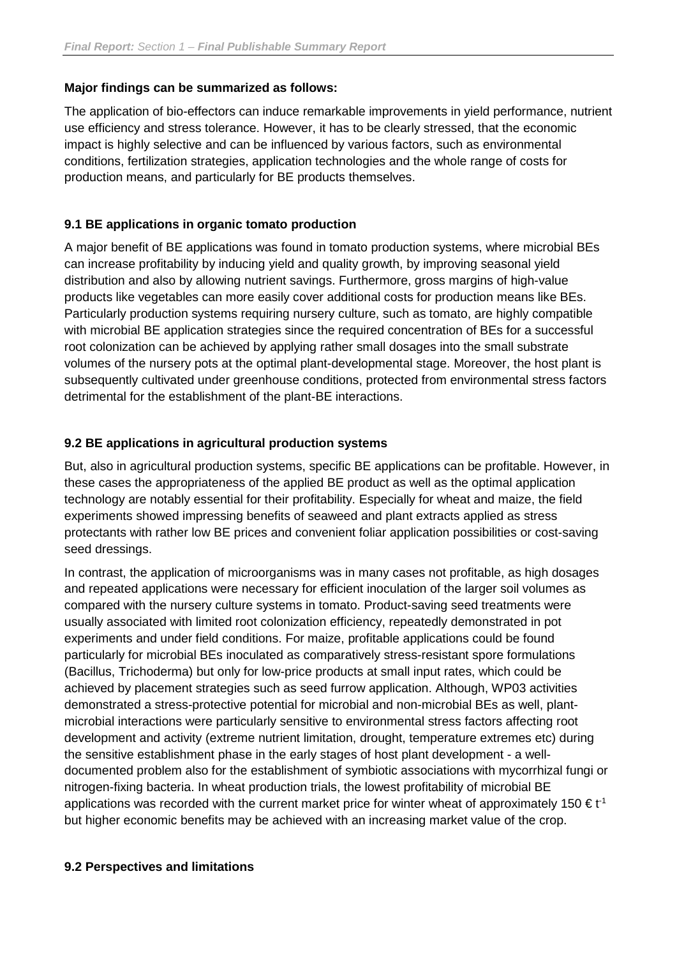#### **Major findings can be summarized as follows:**

The application of bio-effectors can induce remarkable improvements in yield performance, nutrient use efficiency and stress tolerance. However, it has to be clearly stressed, that the economic impact is highly selective and can be influenced by various factors, such as environmental conditions, fertilization strategies, application technologies and the whole range of costs for production means, and particularly for BE products themselves.

#### **9.1 BE applications in organic tomato production**

A major benefit of BE applications was found in tomato production systems, where microbial BEs can increase profitability by inducing yield and quality growth, by improving seasonal yield distribution and also by allowing nutrient savings. Furthermore, gross margins of high-value products like vegetables can more easily cover additional costs for production means like BEs. Particularly production systems requiring nursery culture, such as tomato, are highly compatible with microbial BE application strategies since the required concentration of BEs for a successful root colonization can be achieved by applying rather small dosages into the small substrate volumes of the nursery pots at the optimal plant-developmental stage. Moreover, the host plant is subsequently cultivated under greenhouse conditions, protected from environmental stress factors detrimental for the establishment of the plant-BE interactions.

#### **9.2 BE applications in agricultural production systems**

But, also in agricultural production systems, specific BE applications can be profitable. However, in these cases the appropriateness of the applied BE product as well as the optimal application technology are notably essential for their profitability. Especially for wheat and maize, the field experiments showed impressing benefits of seaweed and plant extracts applied as stress protectants with rather low BE prices and convenient foliar application possibilities or cost-saving seed dressings.

In contrast, the application of microorganisms was in many cases not profitable, as high dosages and repeated applications were necessary for efficient inoculation of the larger soil volumes as compared with the nursery culture systems in tomato. Product-saving seed treatments were usually associated with limited root colonization efficiency, repeatedly demonstrated in pot experiments and under field conditions. For maize, profitable applications could be found particularly for microbial BEs inoculated as comparatively stress-resistant spore formulations (Bacillus, Trichoderma) but only for low-price products at small input rates, which could be achieved by placement strategies such as seed furrow application. Although, WP03 activities demonstrated a stress-protective potential for microbial and non-microbial BEs as well, plantmicrobial interactions were particularly sensitive to environmental stress factors affecting root development and activity (extreme nutrient limitation, drought, temperature extremes etc) during the sensitive establishment phase in the early stages of host plant development - a welldocumented problem also for the establishment of symbiotic associations with mycorrhizal fungi or nitrogen-fixing bacteria. In wheat production trials, the lowest profitability of microbial BE applications was recorded with the current market price for winter wheat of approximately 150  $\epsilon t^{-1}$ but higher economic benefits may be achieved with an increasing market value of the crop.

#### **9.2 Perspectives and limitations**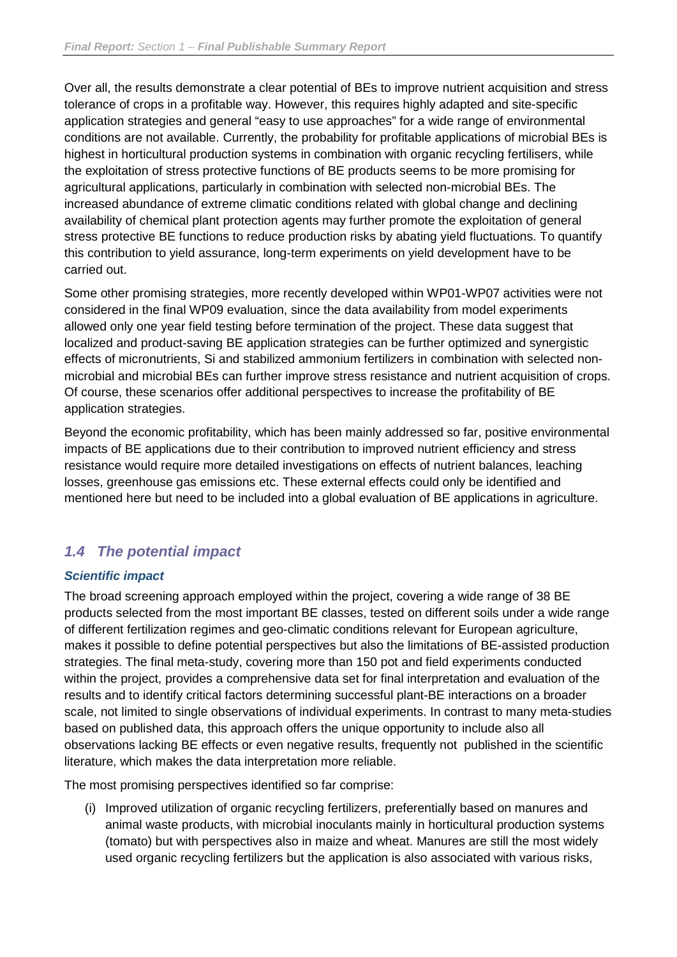Over all, the results demonstrate a clear potential of BEs to improve nutrient acquisition and stress tolerance of crops in a profitable way. However, this requires highly adapted and site-specific application strategies and general "easy to use approaches" for a wide range of environmental conditions are not available. Currently, the probability for profitable applications of microbial BEs is highest in horticultural production systems in combination with organic recycling fertilisers, while the exploitation of stress protective functions of BE products seems to be more promising for agricultural applications, particularly in combination with selected non-microbial BEs. The increased abundance of extreme climatic conditions related with global change and declining availability of chemical plant protection agents may further promote the exploitation of general stress protective BE functions to reduce production risks by abating yield fluctuations. To quantify this contribution to yield assurance, long-term experiments on yield development have to be carried out.

Some other promising strategies, more recently developed within WP01-WP07 activities were not considered in the final WP09 evaluation, since the data availability from model experiments allowed only one year field testing before termination of the project. These data suggest that localized and product-saving BE application strategies can be further optimized and synergistic effects of micronutrients, Si and stabilized ammonium fertilizers in combination with selected nonmicrobial and microbial BEs can further improve stress resistance and nutrient acquisition of crops. Of course, these scenarios offer additional perspectives to increase the profitability of BE application strategies.

Beyond the economic profitability, which has been mainly addressed so far, positive environmental impacts of BE applications due to their contribution to improved nutrient efficiency and stress resistance would require more detailed investigations on effects of nutrient balances, leaching losses, greenhouse gas emissions etc. These external effects could only be identified and mentioned here but need to be included into a global evaluation of BE applications in agriculture.

## <span id="page-25-0"></span>*1.4 The potential impact*

#### *Scientific impact*

The broad screening approach employed within the project, covering a wide range of 38 BE products selected from the most important BE classes, tested on different soils under a wide range of different fertilization regimes and geo-climatic conditions relevant for European agriculture, makes it possible to define potential perspectives but also the limitations of BE-assisted production strategies. The final meta-study, covering more than 150 pot and field experiments conducted within the project, provides a comprehensive data set for final interpretation and evaluation of the results and to identify critical factors determining successful plant-BE interactions on a broader scale, not limited to single observations of individual experiments. In contrast to many meta-studies based on published data, this approach offers the unique opportunity to include also all observations lacking BE effects or even negative results, frequently not published in the scientific literature, which makes the data interpretation more reliable.

The most promising perspectives identified so far comprise:

(i) Improved utilization of organic recycling fertilizers, preferentially based on manures and animal waste products, with microbial inoculants mainly in horticultural production systems (tomato) but with perspectives also in maize and wheat. Manures are still the most widely used organic recycling fertilizers but the application is also associated with various risks,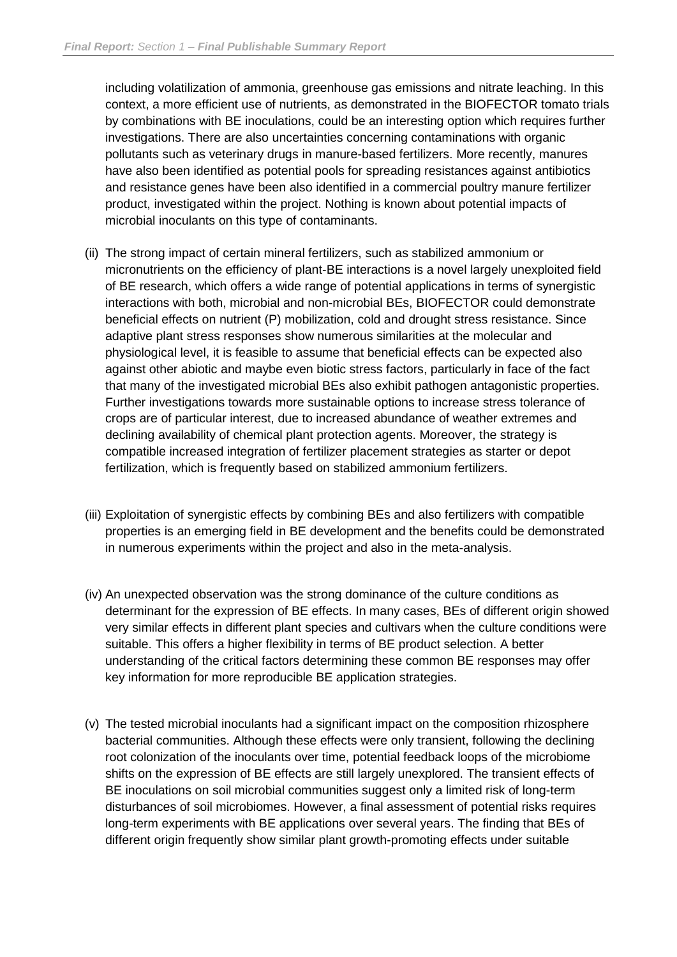including volatilization of ammonia, greenhouse gas emissions and nitrate leaching. In this context, a more efficient use of nutrients, as demonstrated in the BIOFECTOR tomato trials by combinations with BE inoculations, could be an interesting option which requires further investigations. There are also uncertainties concerning contaminations with organic pollutants such as veterinary drugs in manure-based fertilizers. More recently, manures have also been identified as potential pools for spreading resistances against antibiotics and resistance genes have been also identified in a commercial poultry manure fertilizer product, investigated within the project. Nothing is known about potential impacts of microbial inoculants on this type of contaminants.

- (ii) The strong impact of certain mineral fertilizers, such as stabilized ammonium or micronutrients on the efficiency of plant-BE interactions is a novel largely unexploited field of BE research, which offers a wide range of potential applications in terms of synergistic interactions with both, microbial and non-microbial BEs, BIOFECTOR could demonstrate beneficial effects on nutrient (P) mobilization, cold and drought stress resistance. Since adaptive plant stress responses show numerous similarities at the molecular and physiological level, it is feasible to assume that beneficial effects can be expected also against other abiotic and maybe even biotic stress factors, particularly in face of the fact that many of the investigated microbial BEs also exhibit pathogen antagonistic properties. Further investigations towards more sustainable options to increase stress tolerance of crops are of particular interest, due to increased abundance of weather extremes and declining availability of chemical plant protection agents. Moreover, the strategy is compatible increased integration of fertilizer placement strategies as starter or depot fertilization, which is frequently based on stabilized ammonium fertilizers.
- (iii) Exploitation of synergistic effects by combining BEs and also fertilizers with compatible properties is an emerging field in BE development and the benefits could be demonstrated in numerous experiments within the project and also in the meta-analysis.
- (iv) An unexpected observation was the strong dominance of the culture conditions as determinant for the expression of BE effects. In many cases, BEs of different origin showed very similar effects in different plant species and cultivars when the culture conditions were suitable. This offers a higher flexibility in terms of BE product selection. A better understanding of the critical factors determining these common BE responses may offer key information for more reproducible BE application strategies.
- (v) The tested microbial inoculants had a significant impact on the composition rhizosphere bacterial communities. Although these effects were only transient, following the declining root colonization of the inoculants over time, potential feedback loops of the microbiome shifts on the expression of BE effects are still largely unexplored. The transient effects of BE inoculations on soil microbial communities suggest only a limited risk of long-term disturbances of soil microbiomes. However, a final assessment of potential risks requires long-term experiments with BE applications over several years. The finding that BEs of different origin frequently show similar plant growth-promoting effects under suitable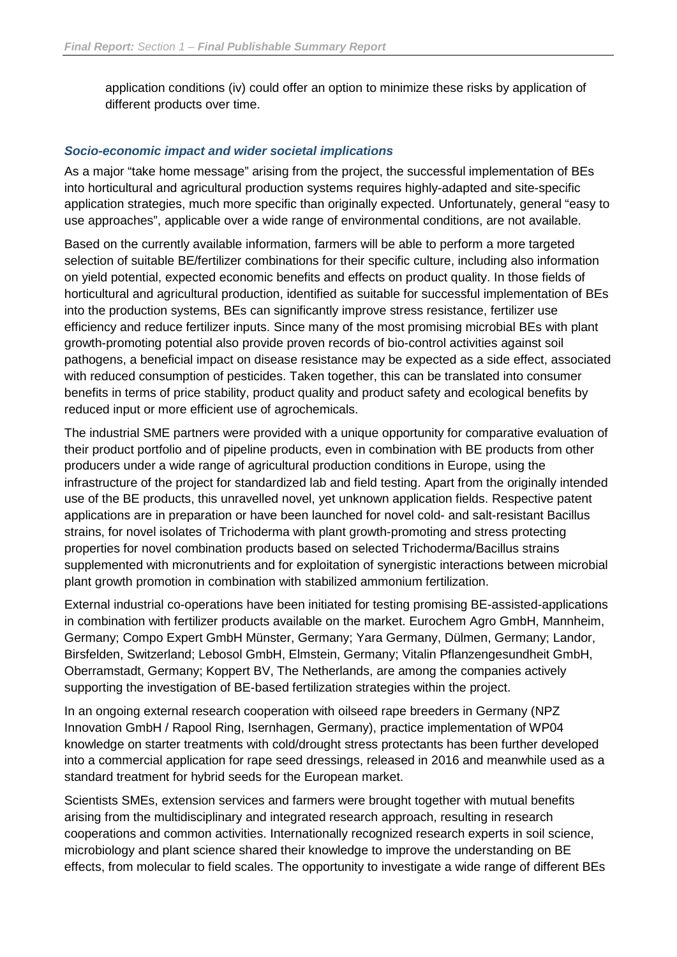application conditions (iv) could offer an option to minimize these risks by application of different products over time.

#### *Socio-economic impact and wider societal implications*

As a major "take home message" arising from the project, the successful implementation of BEs into horticultural and agricultural production systems requires highly-adapted and site-specific application strategies, much more specific than originally expected. Unfortunately, general "easy to use approaches", applicable over a wide range of environmental conditions, are not available.

Based on the currently available information, farmers will be able to perform a more targeted selection of suitable BE/fertilizer combinations for their specific culture, including also information on yield potential, expected economic benefits and effects on product quality. In those fields of horticultural and agricultural production, identified as suitable for successful implementation of BEs into the production systems, BEs can significantly improve stress resistance, fertilizer use efficiency and reduce fertilizer inputs. Since many of the most promising microbial BEs with plant growth-promoting potential also provide proven records of bio-control activities against soil pathogens, a beneficial impact on disease resistance may be expected as a side effect, associated with reduced consumption of pesticides. Taken together, this can be translated into consumer benefits in terms of price stability, product quality and product safety and ecological benefits by reduced input or more efficient use of agrochemicals.

The industrial SME partners were provided with a unique opportunity for comparative evaluation of their product portfolio and of pipeline products, even in combination with BE products from other producers under a wide range of agricultural production conditions in Europe, using the infrastructure of the project for standardized lab and field testing. Apart from the originally intended use of the BE products, this unravelled novel, yet unknown application fields. Respective patent applications are in preparation or have been launched for novel cold- and salt-resistant Bacillus strains, for novel isolates of Trichoderma with plant growth-promoting and stress protecting properties for novel combination products based on selected Trichoderma/Bacillus strains supplemented with micronutrients and for exploitation of synergistic interactions between microbial plant growth promotion in combination with stabilized ammonium fertilization.

External industrial co-operations have been initiated for testing promising BE-assisted-applications in combination with fertilizer products available on the market. Eurochem Agro GmbH, Mannheim, Germany; Compo Expert GmbH Münster, Germany; Yara Germany, Dülmen, Germany; Landor, Birsfelden, Switzerland; Lebosol GmbH, Elmstein, Germany; Vitalin Pflanzengesundheit GmbH, Oberramstadt, Germany; Koppert BV, The Netherlands, are among the companies actively supporting the investigation of BE-based fertilization strategies within the project.

In an ongoing external research cooperation with oilseed rape breeders in Germany (NPZ Innovation GmbH / Rapool Ring, Isernhagen, Germany), practice implementation of WP04 knowledge on starter treatments with cold/drought stress protectants has been further developed into a commercial application for rape seed dressings, released in 2016 and meanwhile used as a standard treatment for hybrid seeds for the European market.

Scientists SMEs, extension services and farmers were brought together with mutual benefits arising from the multidisciplinary and integrated research approach, resulting in research cooperations and common activities. Internationally recognized research experts in soil science, microbiology and plant science shared their knowledge to improve the understanding on BE effects, from molecular to field scales. The opportunity to investigate a wide range of different BEs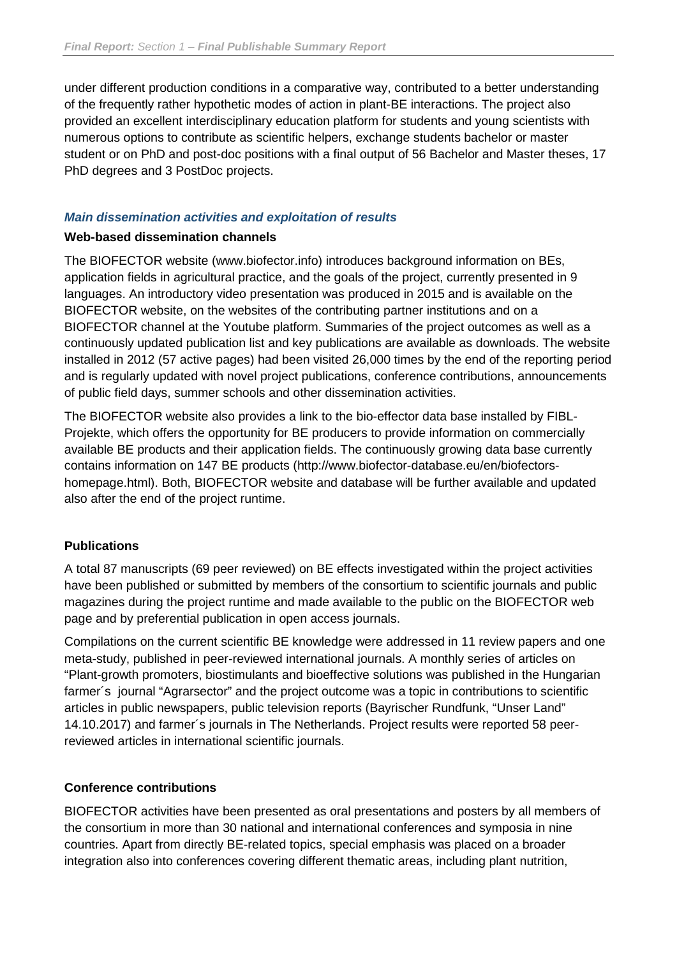under different production conditions in a comparative way, contributed to a better understanding of the frequently rather hypothetic modes of action in plant-BE interactions. The project also provided an excellent interdisciplinary education platform for students and young scientists with numerous options to contribute as scientific helpers, exchange students bachelor or master student or on PhD and post-doc positions with a final output of 56 Bachelor and Master theses, 17 PhD degrees and 3 PostDoc projects.

#### *Main dissemination activities and exploitation of results*

#### **Web-based dissemination channels**

The BIOFECTOR website (www.biofector.info) introduces background information on BEs, application fields in agricultural practice, and the goals of the project, currently presented in 9 languages. An introductory video presentation was produced in 2015 and is available on the BIOFECTOR website, on the websites of the contributing partner institutions and on a BIOFECTOR channel at the Youtube platform. Summaries of the project outcomes as well as a continuously updated publication list and key publications are available as downloads. The website installed in 2012 (57 active pages) had been visited 26,000 times by the end of the reporting period and is regularly updated with novel project publications, conference contributions, announcements of public field days, summer schools and other dissemination activities.

The BIOFECTOR website also provides a link to the bio-effector data base installed by FIBL-Projekte, which offers the opportunity for BE producers to provide information on commercially available BE products and their application fields. The continuously growing data base currently contains information on 147 BE products (http://www.biofector-database.eu/en/biofectorshomepage.html). Both, BIOFECTOR website and database will be further available and updated also after the end of the project runtime.

#### **Publications**

A total 87 manuscripts (69 peer reviewed) on BE effects investigated within the project activities have been published or submitted by members of the consortium to scientific journals and public magazines during the project runtime and made available to the public on the BIOFECTOR web page and by preferential publication in open access journals.

Compilations on the current scientific BE knowledge were addressed in 11 review papers and one meta-study, published in peer-reviewed international journals. A monthly series of articles on "Plant-growth promoters, biostimulants and bioeffective solutions was published in the Hungarian farmer´s journal "Agrarsector" and the project outcome was a topic in contributions to scientific articles in public newspapers, public television reports (Bayrischer Rundfunk, "Unser Land" 14.10.2017) and farmer´s journals in The Netherlands. Project results were reported 58 peerreviewed articles in international scientific journals.

#### **Conference contributions**

BIOFECTOR activities have been presented as oral presentations and posters by all members of the consortium in more than 30 national and international conferences and symposia in nine countries. Apart from directly BE-related topics, special emphasis was placed on a broader integration also into conferences covering different thematic areas, including plant nutrition,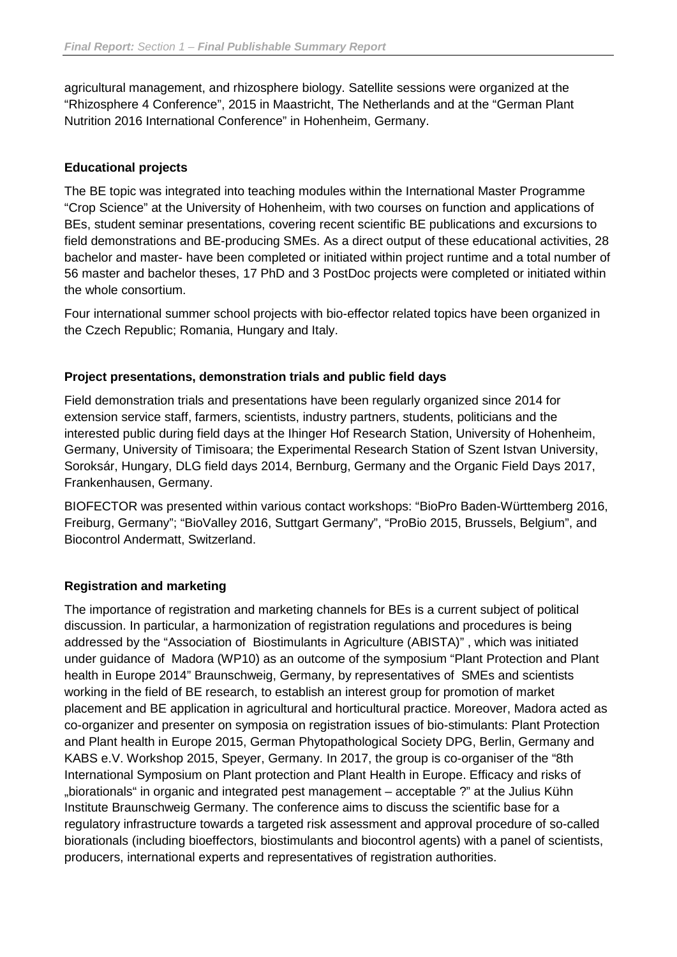agricultural management, and rhizosphere biology. Satellite sessions were organized at the "Rhizosphere 4 Conference", 2015 in Maastricht, The Netherlands and at the "German Plant Nutrition 2016 International Conference" in Hohenheim, Germany.

#### **Educational projects**

The BE topic was integrated into teaching modules within the International Master Programme "Crop Science" at the University of Hohenheim, with two courses on function and applications of BEs, student seminar presentations, covering recent scientific BE publications and excursions to field demonstrations and BE-producing SMEs. As a direct output of these educational activities, 28 bachelor and master- have been completed or initiated within project runtime and a total number of 56 master and bachelor theses, 17 PhD and 3 PostDoc projects were completed or initiated within the whole consortium.

Four international summer school projects with bio-effector related topics have been organized in the Czech Republic; Romania, Hungary and Italy.

#### **Project presentations, demonstration trials and public field days**

Field demonstration trials and presentations have been regularly organized since 2014 for extension service staff, farmers, scientists, industry partners, students, politicians and the interested public during field days at the Ihinger Hof Research Station, University of Hohenheim, Germany, University of Timisoara; the Experimental Research Station of Szent Istvan University, Soroksár, Hungary, DLG field days 2014, Bernburg, Germany and the Organic Field Days 2017, Frankenhausen, Germany.

BIOFECTOR was presented within various contact workshops: "BioPro Baden-Württemberg 2016, Freiburg, Germany"; "BioValley 2016, Suttgart Germany", "ProBio 2015, Brussels, Belgium", and Biocontrol Andermatt, Switzerland.

#### **Registration and marketing**

The importance of registration and marketing channels for BEs is a current subject of political discussion. In particular, a harmonization of registration regulations and procedures is being addressed by the "Association of Biostimulants in Agriculture (ABISTA)" , which was initiated under guidance of Madora (WP10) as an outcome of the symposium "Plant Protection and Plant health in Europe 2014" Braunschweig, Germany, by representatives of SMEs and scientists working in the field of BE research, to establish an interest group for promotion of market placement and BE application in agricultural and horticultural practice. Moreover, Madora acted as co-organizer and presenter on symposia on registration issues of bio-stimulants: Plant Protection and Plant health in Europe 2015, German Phytopathological Society DPG, Berlin, Germany and KABS e.V. Workshop 2015, Speyer, Germany. In 2017, the group is co-organiser of the "8th International Symposium on Plant protection and Plant Health in Europe. Efficacy and risks of "biorationals" in organic and integrated pest management – acceptable ?" at the Julius Kühn Institute Braunschweig Germany. The conference aims to discuss the scientific base for a regulatory infrastructure towards a targeted risk assessment and approval procedure of so-called biorationals (including bioeffectors, biostimulants and biocontrol agents) with a panel of scientists, producers, international experts and representatives of registration authorities.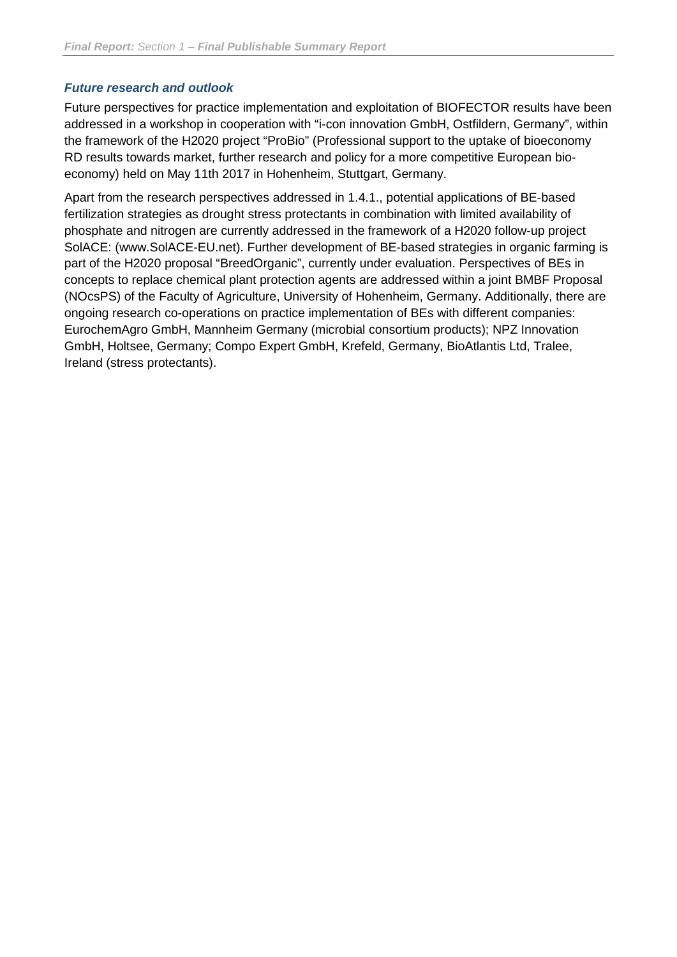#### *Future research and outlook*

Future perspectives for practice implementation and exploitation of BIOFECTOR results have been addressed in a workshop in cooperation with "i-con innovation GmbH, Ostfildern, Germany", within the framework of the H2020 project "ProBio" (Professional support to the uptake of bioeconomy RD results towards market, further research and policy for a more competitive European bioeconomy) held on May 11th 2017 in Hohenheim, Stuttgart, Germany.

Apart from the research perspectives addressed in 1.4.1., potential applications of BE-based fertilization strategies as drought stress protectants in combination with limited availability of phosphate and nitrogen are currently addressed in the framework of a H2020 follow-up project SolACE: (www.SolACE-EU.net). Further development of BE-based strategies in organic farming is part of the H2020 proposal "BreedOrganic", currently under evaluation. Perspectives of BEs in concepts to replace chemical plant protection agents are addressed within a joint BMBF Proposal (NOcsPS) of the Faculty of Agriculture, University of Hohenheim, Germany. Additionally, there are ongoing research co-operations on practice implementation of BEs with different companies: EurochemAgro GmbH, Mannheim Germany (microbial consortium products); NPZ Innovation GmbH, Holtsee, Germany; Compo Expert GmbH, Krefeld, Germany, BioAtlantis Ltd, Tralee, Ireland (stress protectants).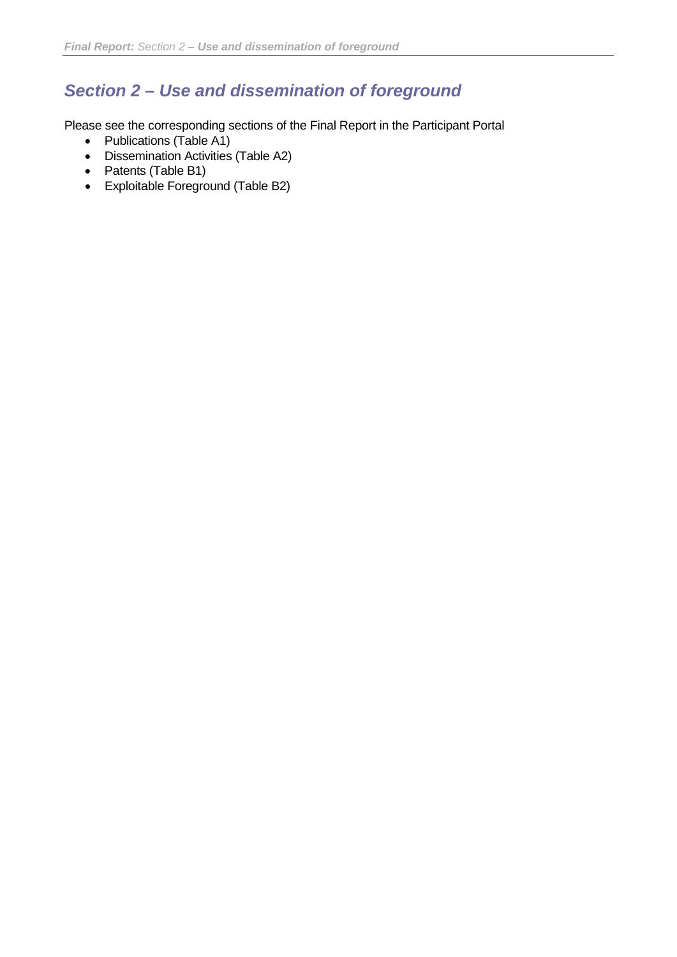# <span id="page-31-0"></span>*Section 2 – Use and dissemination of foreground*

Please see the corresponding sections of the Final Report in the Participant Portal

- Publications (Table A1)
- Dissemination Activities (Table A2)
- Patents (Table B1)
- Exploitable Foreground (Table B2)